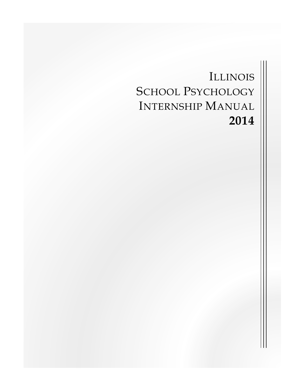# ILLINOIS SCHOOL PSYCHOLOGY INTERNSHIP MANUAL **2014**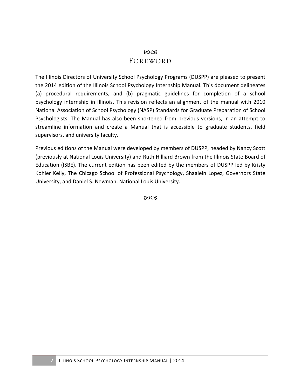### $80C<sub>3</sub>$ FOREWORD

The Illinois Directors of University School Psychology Programs (DUSPP) are pleased to present the 2014 edition of the Illinois School Psychology Internship Manual. This document delineates (a) procedural requirements, and (b) pragmatic guidelines for completion of a school psychology internship in Illinois. This revision reflects an alignment of the manual with 2010 National Association of School Psychology (NASP) Standards for Graduate Preparation of School Psychologists. The Manual has also been shortened from previous versions, in an attempt to streamline information and create a Manual that is accessible to graduate students, field supervisors, and university faculty.

Previous editions of the Manual were developed by members of DUSPP, headed by Nancy Scott (previously at National Louis University) and Ruth Hilliard Brown from the Illinois State Board of Education (ISBE). The current edition has been edited by the members of DUSPP led by Kristy Kohler Kelly, The Chicago School of Professional Psychology, Shaalein Lopez, Governors State University, and Daniel S. Newman, National Louis University.

80CB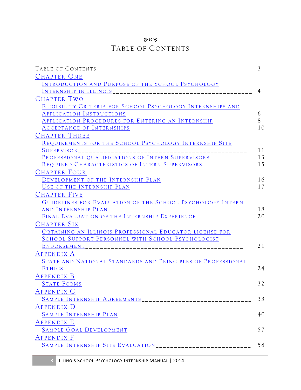### **LOC3**

# TABLE OF CONTENTS

| TABLE OF CONTENTS                                            | 3              |
|--------------------------------------------------------------|----------------|
| <b>CHAPTER ONE</b>                                           |                |
| INTRODUCTION AND PURPOSE OF THE SCHOOL PSYCHOLOGY            |                |
| INTERNSHIP IN ILLINOIS                                       | $\overline{4}$ |
| CHAPTER TWO                                                  |                |
| ELIGIBILITY CRITERIA FOR SCHOOL PSYCHOLOGY INTERNSHIPS AND   |                |
| APPLICATION INSTRUCTIONS                                     | 6              |
| APPLICATION PROCEDURES FOR ENTERING AN INTERNSHIP__________  | 8              |
|                                                              | 10             |
| <b>CHAPTER THREE</b>                                         |                |
| REQUIREMENTS FOR THE SCHOOL PSYCHOLOGY INTERNSHIP SITE       |                |
| SUPERVISOR<br>__________________________                     | 11             |
| PROFESSIONAL QUALIFICATIONS OF INTERN SUPERVISORS___________ | 13             |
| REQUIRED CHARACTERISTICS OF INTERN SUPERVISORS_____________  | 15             |
| <b>CHAPTER FOUR</b>                                          |                |
|                                                              | 16             |
|                                                              | 17             |
| <b>CHAPTER FIVE</b>                                          |                |
| GUIDELINES FOR EVALUATION OF THE SCHOOL PSYCHOLOGY INTERN    |                |
| AND INTERNSHIP PLAN                                          | 18             |
| FINAL EVALUATION OF THE INTERNSHIP EXPERIENCE_______________ | 20             |
| <b>CHAPTER SIX</b>                                           |                |
| OBTAINING AN ILLINOIS PROFESSIONAL EDUCATOR LICENSE FOR      |                |
| SCHOOL SUPPORT PERSONNEL WITH SCHOOL PSYCHOLOGIST            |                |
| ENDORSEMENT                                                  | 21             |
| <b>APPENDIX A</b>                                            |                |
| STATE AND NATIONAL STANDARDS AND PRINCIPLES OF PROFESSIONAL  |                |
| <b>ETHICS</b>                                                | 24             |
| <b>APPENDIX B</b>                                            |                |
| <b>STATE FORMS</b>                                           | 32             |
| <b>APPENDIX C</b>                                            |                |
|                                                              | 33             |
| <b>APPENDIX D</b>                                            |                |
|                                                              | 40             |
| <b>APPENDIX E</b>                                            |                |
|                                                              | 57             |
| <b>APPENDIX F</b>                                            |                |
|                                                              | 58             |
|                                                              |                |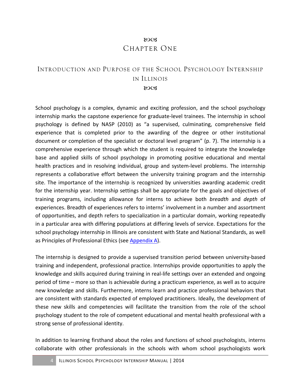### 80CB CHAPTER ONE

### INTRODUCTION AND PURPOSE OF THE SCHOOL PSYCHOLOGY INTERNSHIP IN ILLINOIS 80CB

School psychology is a complex, dynamic and exciting profession, and the school psychology internship marks the capstone experience for graduate-level trainees. The internship in school psychology is defined by NASP (2010) as "a supervised, culminating, comprehensive field experience that is completed prior to the awarding of the degree or other institutional document or completion of the specialist or doctoral level program" (p. 7). The internship is a comprehensive experience through which the student is required to integrate the knowledge base and applied skills of school psychology in promoting positive educational and mental health practices and in resolving individual, group and system-level problems. The internship represents a collaborative effort between the university training program and the internship site. The importance of the internship is recognized by universities awarding academic credit for the internship year. Internship settings shall be appropriate for the goals and objectives of training programs, including allowance for interns to achieve both *breadth* and *depth* of experiences. Breadth of experiences refers to interns' involvement in a number and assortment of opportunities, and depth refers to specialization in a particular domain, working repeatedly in a particular area with differing populations at differing levels of service. Expectations for the school psychology internship in Illinois are consistent with State and National Standards, as well as Principles of Professional Ethics (see Appendix A).

The internship is designed to provide a supervised transition period between university-based training and independent, professional practice. Internships provide opportunities to apply the knowledge and skills acquired during training in real-life settings over an extended and ongoing period of time – more so than is achievable during a practicum experience, as well as to acquire new knowledge and skills. Furthermore, interns learn and practice professional behaviors that are consistent with standards expected of employed practitioners. Ideally, the development of these new skills and competencies will facilitate the transition from the role of the school psychology student to the role of competent educational and mental health professional with a strong sense of professional identity.

In addition to learning firsthand about the roles and functions of school psychologists, interns collaborate with other professionals in the schools with whom school psychologists work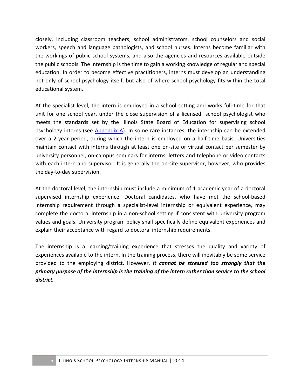closely, including classroom teachers, school administrators, school counselors and social workers, speech and language pathologists, and school nurses. Interns become familiar with the workings of public school systems, and also the agencies and resources available outside the public schools. The internship is the time to gain a working knowledge of regular and special education. In order to become effective practitioners, interns must develop an understanding not only of school psychology itself, but also of where school psychology fits within the total educational system.

At the specialist level, the intern is employed in a school setting and works full-time for that unit for one school year, under the close supervision of a licensed school psychologist who meets the standards set by the Illinois State Board of Education for supervising school psychology interns (see Appendix A). In some rare instances, the internship can be extended over a 2-year period, during which the intern is employed on a half-time basis. Universities maintain contact with interns through at least one on-site or virtual contact per semester by university personnel, on-campus seminars for interns, letters and telephone or video contacts with each intern and supervisor. It is generally the on-site supervisor, however, who provides the day-to-day supervision.

At the doctoral level, the internship must include a minimum of 1 academic year of a doctoral supervised internship experience. Doctoral candidates, who have met the school-based internship requirement through a specialist-level internship or equivalent experience, may complete the doctoral internship in a non-school setting if consistent with university program values and goals. University program policy shall specifically define equivalent experiences and explain their acceptance with regard to doctoral internship requirements.

The internship is a learning/training experience that stresses the quality and variety of experiences available to the intern. In the training process, there will inevitably be some service provided to the employing district. However, *it cannot be stressed too strongly that the* primary purpose of the internship is the training of the intern rather than service to the school *district.*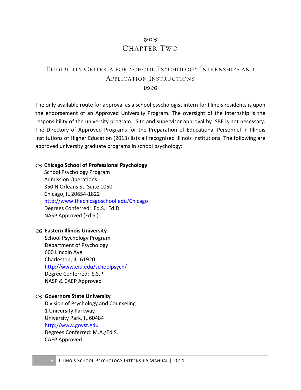### 8003 CHAPTER TWO

# ELIGIBILITY CRITERIA FOR SCHOOL PSYCHOLOGY INTERNSHIPS AND APPLICATION INSTRUCTIONS

80CB

The only available route for approval as a school psychologist intern for Illinois residents is upon the endorsement of an Approved University Program. The oversight of the internship is the responsibility of the university program. Site and supervisor approval by ISBE is not necessary. The Directory of Approved Programs for the Preparation of Educational Personnel in Illinois Institutions of Higher Education (2013) lists all recognized Illinois institutions. The following are approved university graduate programs in school psychology:

#### C<sub>3</sub> Chicago School of Professional Psychology

School Psychology Program Admission Operations 350 N Orleans St, Suite 1050 Chicago, IL 20654-1822 http://www.thechicagoschool.edu/Chicago Degrees Conferred: Ed.S.; Ed.D NASP Approved (Ed.S.)

#### **Eastern Illinois University**

School Psychology Program Department of Psychology 600 Lincoln Ave. Charleston, IL 61920 http://www.eiu.edu/schoolpsych/ Degree Conferred: S.S.P. NASP & CAEP Approved

#### Governors State University

Division of Psychology and Counseling 1 University Parkway University Park, IL 60484 http://www.govst.edu Degrees Conferred: M.A./Ed.S. CAEP Approved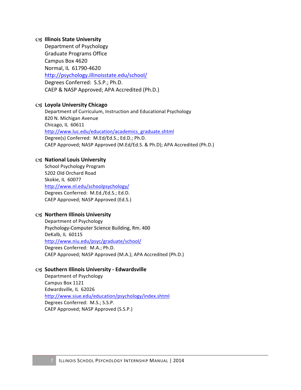#### **Illinois State University**

Department of Psychology Graduate Programs Office Campus Box 4620 Normal, IL 61790-4620 http://psychology.illinoisstate.edu/school/ Degrees Conferred: S.S.P.; Ph.D. CAEP & NASP Approved; APA Accredited (Ph.D.)

#### **Loyola University Chicago**

Department of Curriculum, Instruction and Educational Psychology 820 N. Michigan Avenue Chicago, IL 60611 http://www.luc.edu/education/academics\_graduate.shtml Degree(s) Conferred: M.Ed/Ed.S.; Ed.D.; Ph.D. CAEP Approved; NASP Approved (M.Ed/Ed.S. & Ph.D); APA Accredited (Ph.D.)

#### **C3 National Louis University**

School Psychology Program 5202 Old Orchard Road Skokie, IL 60077 http://www.nl.edu/schoolpsychology/ Degrees Conferred: M.Ed./Ed.S.; Ed.D. CAEP Approved; NASP Approved (Ed.S.)

#### **Northern Illinois University**

Department of Psychology Psychology-Computer Science Building, Rm. 400 DeKalb, IL 60115 http://www.niu.edu/psyc/graduate/school/ Degrees Conferred: M.A.; Ph.D. CAEP Approved; NASP Approved (M.A.); APA Accredited (Ph.D.)

#### **Southern Illinois University - Edwardsville**

Department of Psychology Campus Box 1121 Edwardsville, IL 62026 http://www.siue.edu/education/psychology/index.shtml Degrees Conferred: M.S.; S.S.P. CAEP Approved; NASP Approved (S.S.P.)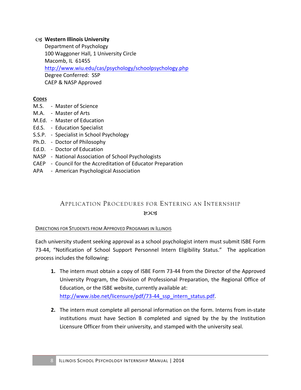#### **Western Illinois University**

Department of Psychology 100 Waggoner Hall, 1 University Circle Macomb, IL 61455 http://www.wiu.edu/cas/psychology/schoolpsychology.php Degree Conferred: SSP CAEP & NASP Approved

#### **CODES**

- M.S. Master of Science
- M.A. Master of Arts
- M.Ed. Master of Education
- Ed.S. Education Specialist
- S.S.P. Specialist in School Psychology
- Ph.D. Doctor of Philosophy
- Ed.D. Doctor of Education
- NASP National Association of School Psychologists
- CAEP Council for the Accreditation of Educator Preparation
- APA American Psychological Association

### APPLICATION PROCEDURES FOR ENTERING AN INTERNSHIP  $\mathcal{X}$

#### DIRECTIONS FOR STUDENTS FROM APPROVED PROGRAMS IN ILLINOIS

Each university student seeking approval as a school psychologist intern must submit ISBE Form 73-44, "Notification of School Support Personnel Intern Eligibility Status." The application process includes the following:

- **1.** The intern must obtain a copy of ISBE Form 73-44 from the Director of the Approved University Program, the Division of Professional Preparation, the Regional Office of Education, or the ISBE website, currently available at: http://www.isbe.net/licensure/pdf/73-44\_ssp\_intern\_status.pdf.
- **2.** The intern must complete all personal information on the form. Interns from in-state institutions must have Section B completed and signed by the by the Institution Licensure Officer from their university, and stamped with the university seal.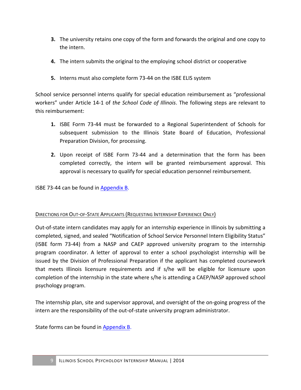- **3.** The university retains one copy of the form and forwards the original and one copy to the intern.
- **4.** The intern submits the original to the employing school district or cooperative
- **5.** Interns must also complete form 73-44 on the ISBE ELIS system

School service personnel interns qualify for special education reimbursement as "professional workers" under Article 14-1 of the School Code of Illinois. The following steps are relevant to this reimbursement:

- 1. ISBE Form 73-44 must be forwarded to a Regional Superintendent of Schools for subsequent submission to the Illinois State Board of Education, Professional Preparation Division, for processing.
- **2.** Upon receipt of ISBE Form 73-44 and a determination that the form has been completed correctly, the intern will be granted reimbursement approval. This approval is necessary to qualify for special education personnel reimbursement.

**ISBE 73-44 can be found in Appendix B.** 

#### DIRECTIONS FOR OUT-OF-STATE APPLICANTS (REQUESTING INTERNSHIP EXPERIENCE ONLY)

Out-of-state intern candidates may apply for an internship experience in Illinois by submitting a completed, signed, and sealed "Notification of School Service Personnel Intern Eligibility Status" (ISBE form 73-44) from a NASP and CAEP approved university program to the internship program coordinator. A letter of approval to enter a school psychologist internship will be issued by the Division of Professional Preparation if the applicant has completed coursework that meets Illinois licensure requirements and if s/he will be eligible for licensure upon completion of the internship in the state where s/he is attending a CAEP/NASP approved school psychology program.

The internship plan, site and supervisor approval, and oversight of the on-going progress of the intern are the responsibility of the out-of-state university program administrator.

State forms can be found in Appendix B.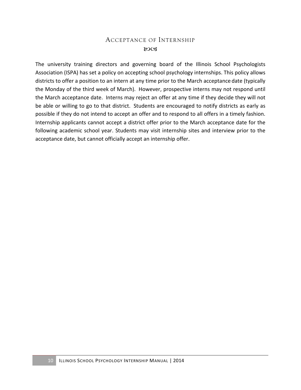### ACCEPTANCE OF INTERNSHIP 80CB

The university training directors and governing board of the Illinois School Psychologists Association (ISPA) has set a policy on accepting school psychology internships. This policy allows districts to offer a position to an intern at any time prior to the March acceptance date (typically the Monday of the third week of March). However, prospective interns may not respond until the March acceptance date. Interns may reject an offer at any time if they decide they will not be able or willing to go to that district. Students are encouraged to notify districts as early as possible if they do not intend to accept an offer and to respond to all offers in a timely fashion. Internship applicants cannot accept a district offer prior to the March acceptance date for the following academic school year. Students may visit internship sites and interview prior to the acceptance date, but cannot officially accept an internship offer.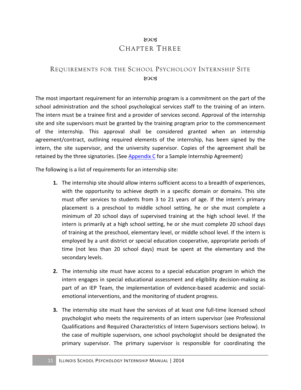### 8003 CHAPTER THREE

### REQUIREMENTS FOR THE SCHOOL PSYCHOLOGY INTERNSHIP SITE  $ROCZ$

The most important requirement for an internship program is a commitment on the part of the school administration and the school psychological services staff to the training of an intern. The intern must be a trainee first and a provider of services second. Approval of the internship site and site supervisors must be granted by the training program prior to the commencement of the internship. This approval shall be considered granted when an internship agreement/contract, outlining required elements of the internship, has been signed by the intern, the site supervisor, and the university supervisor. Copies of the agreement shall be retained by the three signatories. (See Appendix C for a Sample Internship Agreement)

The following is a list of requirements for an internship site:

- **1.** The internship site should allow interns sufficient access to a breadth of experiences, with the opportunity to achieve depth in a specific domain or domains. This site must offer services to students from 3 to 21 years of age. If the intern's primary placement is a preschool to middle school setting, he or she must complete a minimum of 20 school days of supervised training at the high school level. If the intern is primarily at a high school setting, he or she must complete 20 school days of training at the preschool, elementary level, or middle school level. If the intern is employed by a unit district or special education cooperative, appropriate periods of time (not less than 20 school days) must be spent at the elementary and the secondary levels.
- **2.** The internship site must have access to a special education program in which the intern engages in special educational assessment and eligibility decision-making as part of an IEP Team, the implementation of evidence-based academic and socialemotional interventions, and the monitoring of student progress.
- **3.** The internship site must have the services of at least one full-time licensed school psychologist who meets the requirements of an intern supervisor (see Professional Qualifications and Required Characteristics of Intern Supervisors sections below). In the case of multiple supervisors, one school psychologist should be designated the primary supervisor. The primary supervisor is responsible for coordinating the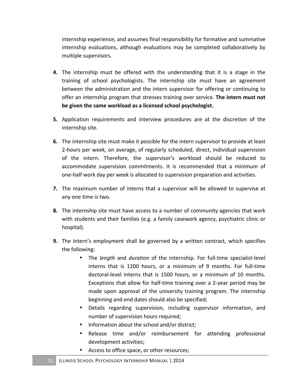internship experience, and assumes final responsibility for formative and summative internship evaluations, although evaluations may be completed collaboratively by multiple supervisors.

- **4.** The internship must be offered with the understanding that it is a stage in the training of school psychologists. The internship site must have an agreement between the administration and the intern supervisor for offering or continuing to offer an internship program that stresses training over service. The intern must not be given the same workload as a licensed school psychologist.
- **5.** Application requirements and interview procedures are at the discretion of the internship site.
- **6.** The internship site must make it possible for the intern supervisor to provide at least 2-hours per week, on average, of regularly scheduled, direct, individual supervision of the intern. Therefore, the supervisor's workload should be reduced to accommodate supervision commitments. It is recommended that a minimum of one-half work day per week is allocated to supervision preparation and activities.
- **7.** The maximum number of interns that a supervisor will be allowed to supervise at any one time is two.
- **8.** The internship site must have access to a number of community agencies that work with students and their families (e.g. a family casework agency, psychiatric clinic or hospital).
- **9.** The intern's employment shall be governed by a written contract, which specifies the following:
	- The *length* and *duration* of the internship. For full-time specialist-level interns that is 1200 hours, or a minimum of 9 months. For full-time doctoral-level interns that is 1500 hours, or a minimum of 10 months. Exceptions that allow for half-time training over a 2-year period may be made upon approval of the university training program. The internship beginning and end dates should also be specified;
	- Details regarding supervision, including supervisor information, and number of supervision hours required;
	- Information about the school and/or district;
	- Release time and/or reimbursement for attending professional development activities;
	- Access to office space, or other resources;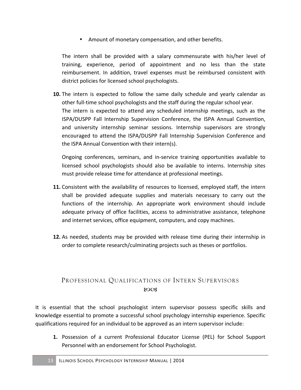• Amount of monetary compensation, and other benefits.

The intern shall be provided with a salary commensurate with his/her level of training, experience, period of appointment and no less than the state reimbursement. In addition, travel expenses must be reimbursed consistent with district policies for licensed school psychologists.

**10.** The intern is expected to follow the same daily schedule and yearly calendar as other full-time school psychologists and the staff during the regular school year. The intern is expected to attend any scheduled internship meetings, such as the ISPA/DUSPP Fall Internship Supervision Conference, the ISPA Annual Convention, and university internship seminar sessions. Internship supervisors are strongly encouraged to attend the ISPA/DUSPP Fall Internship Supervision Conference and the ISPA Annual Convention with their intern(s).

Ongoing conferences, seminars, and in-service training opportunities available to licensed school psychologists should also be available to interns. Internship sites must provide release time for attendance at professional meetings.

- **11.** Consistent with the availability of resources to licensed, employed staff, the intern shall be provided adequate supplies and materials necessary to carry out the functions of the internship. An appropriate work environment should include adequate privacy of office facilities, access to administrative assistance, telephone and internet services, office equipment, computers, and copy machines.
- **12.** As needed, students may be provided with release time during their internship in order to complete research/culminating projects such as theses or portfolios.

### PROFESSIONAL QUALIFICATIONS OF INTERN SUPERVISORS 80CB

It is essential that the school psychologist intern supervisor possess specific skills and knowledge essential to promote a successful school psychology internship experience. Specific qualifications required for an individual to be approved as an intern supervisor include:

**1.** Possession of a current Professional Educator License (PEL) for School Support Personnel with an endorsement for School Psychologist.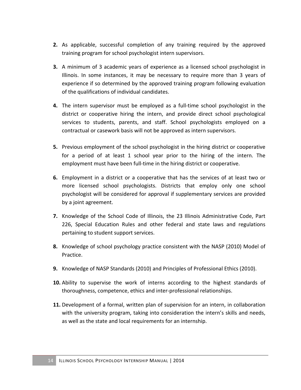- **2.** As applicable, successful completion of any training required by the approved training program for school psychologist intern supervisors.
- **3.** A minimum of 3 academic years of experience as a licensed school psychologist in Illinois. In some instances, it may be necessary to require more than 3 years of experience if so determined by the approved training program following evaluation of the qualifications of individual candidates.
- **4.** The intern supervisor must be employed as a full-time school psychologist in the district or cooperative hiring the intern, and provide direct school psychological services to students, parents, and staff. School psychologists employed on a contractual or casework basis will not be approved as intern supervisors.
- **5.** Previous employment of the school psychologist in the hiring district or cooperative for a period of at least 1 school year prior to the hiring of the intern. The employment must have been full-time in the hiring district or cooperative.
- **6.** Employment in a district or a cooperative that has the services of at least two or more licensed school psychologists. Districts that employ only one school psychologist will be considered for approval if supplementary services are provided by a joint agreement.
- **7.** Knowledge of the School Code of Illinois, the 23 Illinois Administrative Code, Part 226, Special Education Rules and other federal and state laws and regulations pertaining to student support services.
- **8.** Knowledge of school psychology practice consistent with the NASP (2010) Model of Practice.
- **9.** Knowledge of NASP Standards (2010) and Principles of Professional Ethics (2010).
- **10.** Ability to supervise the work of interns according to the highest standards of thoroughness, competence, ethics and inter-professional relationships.
- **11.** Development of a formal, written plan of supervision for an intern, in collaboration with the university program, taking into consideration the intern's skills and needs, as well as the state and local requirements for an internship.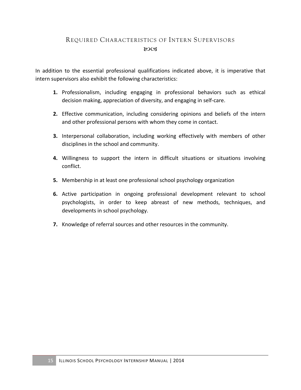### REQUIRED CHARACTERISTICS OF INTERN SUPERVISORS 80CB

In addition to the essential professional qualifications indicated above, it is imperative that intern supervisors also exhibit the following characteristics:

- 1. Professionalism, including engaging in professional behaviors such as ethical decision making, appreciation of diversity, and engaging in self-care.
- **2.** Effective communication, including considering opinions and beliefs of the intern and other professional persons with whom they come in contact.
- **3.** Interpersonal collaboration, including working effectively with members of other disciplines in the school and community.
- **4.** Willingness to support the intern in difficult situations or situations involving conflict.
- **5.** Membership in at least one professional school psychology organization
- **6.** Active participation in ongoing professional development relevant to school psychologists, in order to keep abreast of new methods, techniques, and developments in school psychology.
- **7.** Knowledge of referral sources and other resources in the community.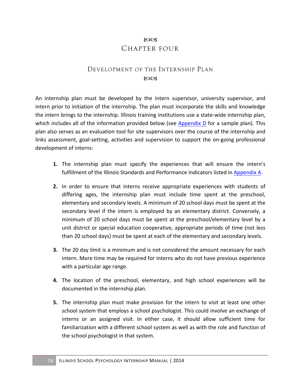### 80CB CHAPTER FOUR

### DEVELOPMENT OF THE INTERNSHIP PLAN  $ROCZ$

An internship plan must be developed by the intern supervisor, university supervisor, and intern prior to initiation of the internship. The plan must incorporate the skills and knowledge the intern brings to the internship. Illinois training institutions use a state-wide internship plan, which includes all of the information provided below (see Appendix  $D$  for a sample plan). This plan also serves as an evaluation tool for site supervisors over the course of the internship and links assessment, goal-setting, activities and supervision to support the on-going professional development of interns:

- **1.** The internship plan must specify the experiences that will ensure the intern's fulfillment of the Illinois Standards and Performance Indicators listed in Appendix A.
- **2.** In order to ensure that interns receive appropriate experiences with students of differing ages, the internship plan must include time spent at the preschool, elementary and secondary levels. A minimum of 20 school days must be spent at the secondary level if the intern is employed by an elementary district. Conversely, a minimum of 20 school days must be spent at the preschool/elementary level by a unit district or special education cooperative, appropriate periods of time (not less than 20 school days) must be spent at each of the elementary and secondary levels.
- **3.** The 20 day limit is a minimum and is not considered the amount necessary for each intern. More time may be required for interns who do not have previous experience with a particular age range.
- **4.** The location of the preschool, elementary, and high school experiences will be documented in the internship plan.
- **5.** The internship plan must make provision for the intern to visit at least one other school system that employs a school psychologist. This could involve an exchange of interns or an assigned visit. In either case, it should allow sufficient time for familiarization with a different school system as well as with the role and function of the school psychologist in that system.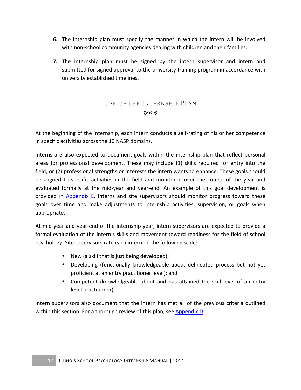- **6.** The internship plan must specify the manner in which the intern will be involved with non-school community agencies dealing with children and their families.
- **7.** The internship plan must be signed by the intern supervisor and intern and submitted for signed approval to the university training program in accordance with university established timelines.

### USE OF THE INTERNSHIP PLAN  $80C<sub>3</sub>$

At the beginning of the internship, each intern conducts a self-rating of his or her competence in specific activities across the 10 NASP domains.

Interns are also expected to document goals within the internship plan that reflect personal areas for professional development. These may include (1) skills required for entry into the field, or (2) professional strengths or interests the intern wants to enhance. These goals should be aligned to specific activities in the field and monitored over the course of the year and evaluated formally at the mid-year and year-end. An example of this goal development is provided in Appendix E. Interns and site supervisors should monitor progress toward these goals over time and make adjustments to internship activities, supervision, or goals when appropriate. 

At mid-year and year-end of the internship year, intern supervisors are expected to provide a formal evaluation of the intern's skills and movement toward readiness for the field of school psychology. Site supervisors rate each intern on the following scale:

- New (a skill that is just being developed);
- Developing (functionally knowledgeable about delineated process but not yet proficient at an entry practitioner level); and
- Competent (knowledgeable about and has attained the skill level of an entry level practitioner).

Intern supervisors also document that the intern has met all of the previous criteria outlined within this section. For a thorough review of this plan, see Appendix D.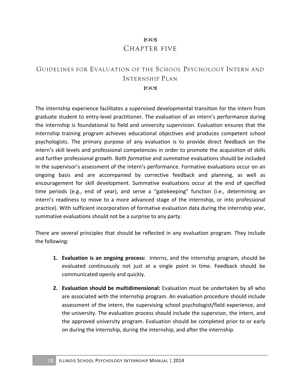### 80CB CHAPTER FIVE

### GUIDELINES FOR EVALUATION OF THE SCHOOL PSYCHOLOGY INTERN AND INTERNSHIP PLAN  $ROCZ$

The internship experience facilitates a supervised developmental transition for the intern from graduate student to entry-level practitioner. The evaluation of an intern's performance during the internship is foundational to field and university supervision. Evaluation ensures that the internship training program achieves educational objectives and produces competent school psychologists. The primary purpose of any evaluation is to provide direct feedback on the intern's skill levels and professional competencies in order to promote the acquisition of skills and further professional growth. Both *formative* and *summative* evaluations should be included in the supervisor's assessment of the intern's performance. Formative evaluations occur on an ongoing basis and are accompanied by corrective feedback and planning, as well as encouragement for skill development. Summative evaluations occur at the end of specified time periods (e.g., end of year), and serve a "gatekeeping" function (i.e., determining an intern's readiness to move to a more advanced stage of the internship, or into professional practice). With sufficient incorporation of formative evaluation data during the internship year, summative evaluations should not be a surprise to any party.

There are several principles that should be reflected in any evaluation program. They include the following:

- **1. Evaluation is an ongoing process:** Interns, and the internship program, should be evaluated continuously not just at a single point in time. Feedback should be communicated openly and quickly.
- **2. Evaluation should be multidimensional:** Evaluation must be undertaken by all who are associated with the internship program. An evaluation procedure should include assessment of the intern, the supervising school psychologist/field experience, and the university. The evaluation process should include the supervisor, the intern, and the approved university program. Evaluation should be completed prior to or early on during the internship, during the internship, and after the internship.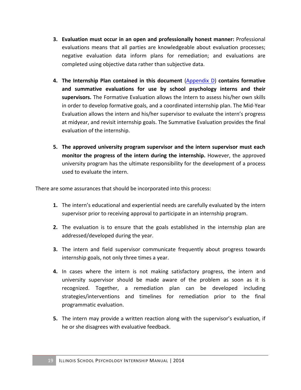- **3. Evaluation must occur in an open and professionally honest manner:** Professional evaluations means that all parties are knowledgeable about evaluation processes; negative evaluation data inform plans for remediation; and evaluations are completed using objective data rather than subjective data.
- **4.** The Internship Plan contained in this document (Appendix D) contains formative and summative evaluations for use by school psychology interns and their supervisors. The Formative Evaluation allows the Intern to assess his/her own skills in order to develop formative goals, and a coordinated internship plan. The Mid-Year Evaluation allows the intern and his/her supervisor to evaluate the intern's progress at midyear, and revisit internship goals. The Summative Evaluation provides the final evaluation of the internship.
- **5.** The approved university program supervisor and the intern supervisor must each **monitor the progress of the intern during the internship.** However, the approved university program has the ultimate responsibility for the development of a process used to evaluate the intern.

There are some assurances that should be incorporated into this process:

- **1.** The intern's educational and experiential needs are carefully evaluated by the intern supervisor prior to receiving approval to participate in an internship program.
- **2.** The evaluation is to ensure that the goals established in the internship plan are addressed/developed during the year.
- **3.** The intern and field supervisor communicate frequently about progress towards internship goals, not only three times a year.
- **4.** In cases where the intern is not making satisfactory progress, the intern and university supervisor should be made aware of the problem as soon as it is recognized. Together, a remediation plan can be developed including strategies/interventions and timelines for remediation prior to the final programmatic evaluation.
- **5.** The intern may provide a written reaction along with the supervisor's evaluation, if he or she disagrees with evaluative feedback.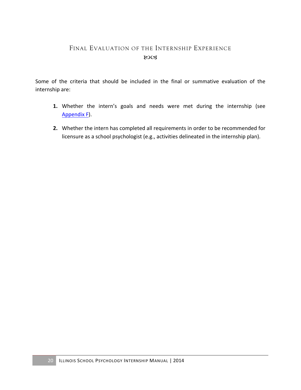### FINAL EVALUATION OF THE INTERNSHIP EXPERIENCE 80CB

Some of the criteria that should be included in the final or summative evaluation of the internship are:

- **1.** Whether the intern's goals and needs were met during the internship (see Appendix F).
- **2.** Whether the intern has completed all requirements in order to be recommended for licensure as a school psychologist (e.g., activities delineated in the internship plan).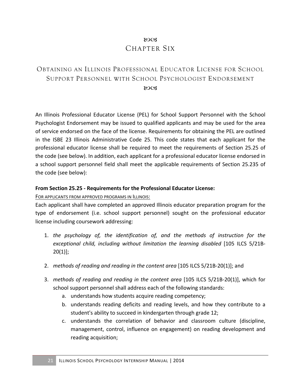### 8003 CHAPTER SIX

### OBTAINING AN ILLINOIS PROFESSIONAL EDUCATOR LICENSE FOR SCHOOL SUPPORT PERSONNEL WITH SCHOOL PSYCHOLOGIST ENDORSEMENT  $ROCZ$

An Illinois Professional Educator License (PEL) for School Support Personnel with the School Psychologist Endorsement may be issued to qualified applicants and may be used for the area of service endorsed on the face of the license. Requirements for obtaining the PEL are outlined in the ISBE 23 Illinois Administrative Code 25. This code states that each applicant for the professional educator license shall be required to meet the requirements of Section 25.25 of the code (see below). In addition, each applicant for a professional educator license endorsed in a school support personnel field shall meet the applicable requirements of Section 25.235 of the code (see below):

#### **From Section 25.25 - Requirements for the Professional Educator License:**

FOR APPLICANTS FROM APPROVED PROGRAMS IN ILLINOIS:

Each applicant shall have completed an approved Illinois educator preparation program for the type of endorsement (i.e. school support personnel) sought on the professional educator license including coursework addressing:

- 1. the psychology of, the identification of, and the methods of instruction for the exceptional child, including without limitation the learning disabled [105 ILCS 5/21B- $20(1)]$ ;
- 2. *methods of reading and reading in the content area* [105 ILCS 5/21B-20(1)]; and
- 3. *methods of reading and reading in the content area* [105 ILCS 5/21B-20(1)], which for school support personnel shall address each of the following standards:
	- a. understands how students acquire reading competency;
	- b. understands reading deficits and reading levels, and how they contribute to a student's ability to succeed in kindergarten through grade 12;
	- c. understands the correlation of behavior and classroom culture (discipline, management, control, influence on engagement) on reading development and reading acquisition;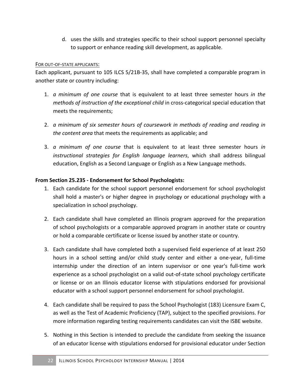d. uses the skills and strategies specific to their school support personnel specialty to support or enhance reading skill development, as applicable.

#### FOR OUT-OF-STATE APPLICANTS:

Each applicant, pursuant to 105 ILCS 5/21B-35, shall have completed a comparable program in another state or country including:

- 1. *a* minimum of one course that is equivalent to at least three semester hours in the *methods of instruction of the exceptional child* in cross-categorical special education that meets the requirements;
- 2. *a* minimum of six semester hours of coursework in methods of reading and reading in *the content area* that meets the requirements as applicable; and
- 3. *a* minimum of one course that is equivalent to at least three semester hours in *instructional strategies for English language learners*, which shall address bilingual education, English as a Second Language or English as a New Language methods.

### **From Section 25.235 - Endorsement for School Psychologists:**

- 1. Each candidate for the school support personnel endorsement for school psychologist shall hold a master's or higher degree in psychology or educational psychology with a specialization in school psychology.
- 2. Each candidate shall have completed an Illinois program approved for the preparation of school psychologists or a comparable approved program in another state or country or hold a comparable certificate or license issued by another state or country.
- 3. Each candidate shall have completed both a supervised field experience of at least 250 hours in a school setting and/or child study center and either a one-year, full-time internship under the direction of an intern supervisor or one year's full-time work experience as a school psychologist on a valid out-of-state school psychology certificate or license or on an Illinois educator license with stipulations endorsed for provisional educator with a school support personnel endorsement for school psychologist.
- 4. Each candidate shall be required to pass the School Psychologist (183) Licensure Exam C, as well as the Test of Academic Proficiency (TAP), subject to the specified provisions. For more information regarding testing requirements candidates can visit the ISBE website.
- 5. Nothing in this Section is intended to preclude the candidate from seeking the issuance of an educator license with stipulations endorsed for provisional educator under Section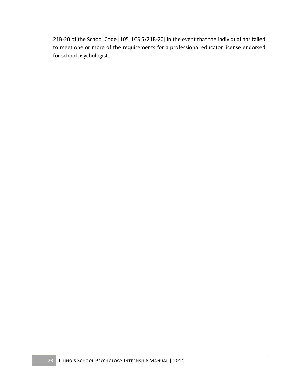21B-20 of the School Code [105 ILCS 5/21B-20] in the event that the individual has failed to meet one or more of the requirements for a professional educator license endorsed for school psychologist.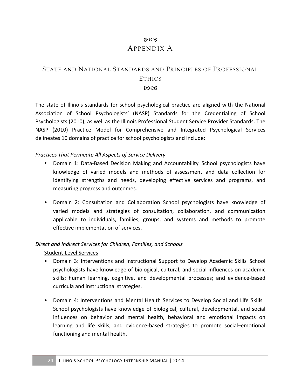### 8003 APPENDIX A

### STATE AND NATIONAL STANDARDS AND PRINCIPLES OF PROFESSIONAL ETHICS 80CB

The state of Illinois standards for school psychological practice are aligned with the National Association of School Psychologists' (NASP) Standards for the Credentialing of School Psychologists (2010), as well as the Illinois Professional Student Service Provider Standards. The NASP (2010) Practice Model for Comprehensive and Integrated Psychological Services delineates 10 domains of practice for school psychologists and include:

#### *Practices That Permeate All Aspects of Service Delivery*

- Domain 1: Data-Based Decision Making and Accountability School psychologists have knowledge of varied models and methods of assessment and data collection for identifying strengths and needs, developing effective services and programs, and measuring progress and outcomes.
- Domain 2: Consultation and Collaboration School psychologists have knowledge of varied models and strategies of consultation, collaboration, and communication applicable to individuals, families, groups, and systems and methods to promote effective implementation of services.

#### *Direct and Indirect Services for Children, Families, and Schools*

Student-Level Services

- Domain 3: Interventions and Instructional Support to Develop Academic Skills School psychologists have knowledge of biological, cultural, and social influences on academic skills; human learning, cognitive, and developmental processes; and evidence-based curricula and instructional strategies.
- Domain 4: Interventions and Mental Health Services to Develop Social and Life Skills School psychologists have knowledge of biological, cultural, developmental, and social influences on behavior and mental health, behavioral and emotional impacts on learning and life skills, and evidence-based strategies to promote social–emotional functioning and mental health.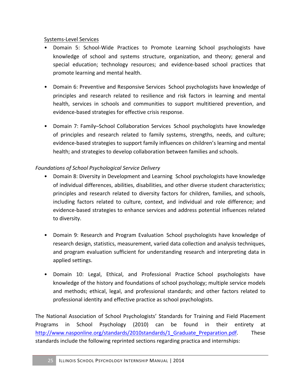### Systems-Level Services

- Domain 5: School-Wide Practices to Promote Learning School psychologists have knowledge of school and systems structure, organization, and theory; general and special education; technology resources; and evidence-based school practices that promote learning and mental health.
- Domain 6: Preventive and Responsive Services School psychologists have knowledge of principles and research related to resilience and risk factors in learning and mental health, services in schools and communities to support multitiered prevention, and evidence-based strategies for effective crisis response.
- Domain 7: Family–School Collaboration Services School psychologists have knowledge of principles and research related to family systems, strengths, needs, and culture; evidence-based strategies to support family influences on children's learning and mental health; and strategies to develop collaboration between families and schools.

### *Foundations of School Psychological Service Delivery*

- Domain 8: Diversity in Development and Learning School psychologists have knowledge of individual differences, abilities, disabilities, and other diverse student characteristics; principles and research related to diversity factors for children, families, and schools, including factors related to culture, context, and individual and role difference; and evidence-based strategies to enhance services and address potential influences related to diversity.
- Domain 9: Research and Program Evaluation School psychologists have knowledge of research design, statistics, measurement, varied data collection and analysis techniques, and program evaluation sufficient for understanding research and interpreting data in applied settings.
- Domain 10: Legal, Ethical, and Professional Practice School psychologists have knowledge of the history and foundations of school psychology; multiple service models and methods; ethical, legal, and professional standards; and other factors related to professional identity and effective practice as school psychologists.

The National Association of School Psychologists' Standards for Training and Field Placement Programs in School Psychology (2010) can be found in their entirety at http://www.nasponline.org/standards/2010standards/1 Graduate Preparation.pdf. These standards include the following reprinted sections regarding practica and internships: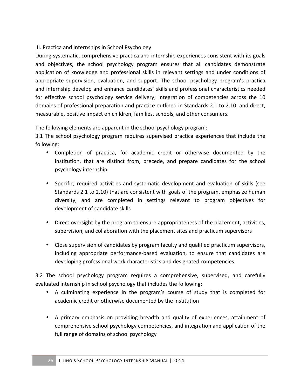### III. Practica and Internships in School Psychology

During systematic, comprehensive practica and internship experiences consistent with its goals and objectives, the school psychology program ensures that all candidates demonstrate application of knowledge and professional skills in relevant settings and under conditions of appropriate supervision, evaluation, and support. The school psychology program's practica and internship develop and enhance candidates' skills and professional characteristics needed for effective school psychology service delivery; integration of competencies across the 10 domains of professional preparation and practice outlined in Standards 2.1 to 2.10; and direct, measurable, positive impact on children, families, schools, and other consumers.

The following elements are apparent in the school psychology program:

3.1 The school psychology program requires supervised practica experiences that include the following:

- Completion of practica, for academic credit or otherwise documented by the institution, that are distinct from, precede, and prepare candidates for the school psychology internship
- Specific, required activities and systematic development and evaluation of skills (see Standards 2.1 to 2.10) that are consistent with goals of the program, emphasize human diversity, and are completed in settings relevant to program objectives for development of candidate skills
- Direct oversight by the program to ensure appropriateness of the placement, activities, supervision, and collaboration with the placement sites and practicum supervisors
- Close supervision of candidates by program faculty and qualified practicum supervisors, including appropriate performance-based evaluation, to ensure that candidates are developing professional work characteristics and designated competencies

3.2 The school psychology program requires a comprehensive, supervised, and carefully evaluated internship in school psychology that includes the following:

- A culminating experience in the program's course of study that is completed for academic credit or otherwise documented by the institution
- A primary emphasis on providing breadth and quality of experiences, attainment of comprehensive school psychology competencies, and integration and application of the full range of domains of school psychology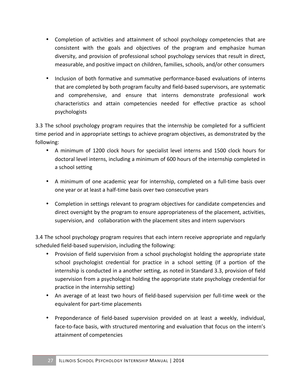- Completion of activities and attainment of school psychology competencies that are consistent with the goals and objectives of the program and emphasize human diversity, and provision of professional school psychology services that result in direct, measurable, and positive impact on children, families, schools, and/or other consumers
- Inclusion of both formative and summative performance-based evaluations of interns that are completed by both program faculty and field-based supervisors, are systematic and comprehensive, and ensure that interns demonstrate professional work characteristics and attain competencies needed for effective practice as school psychologists

3.3 The school psychology program requires that the internship be completed for a sufficient time period and in appropriate settings to achieve program objectives, as demonstrated by the following:

- A minimum of 1200 clock hours for specialist level interns and 1500 clock hours for doctoral level interns, including a minimum of 600 hours of the internship completed in a school setting
- A minimum of one academic year for internship, completed on a full-time basis over one year or at least a half-time basis over two consecutive years
- Completion in settings relevant to program objectives for candidate competencies and direct oversight by the program to ensure appropriateness of the placement, activities, supervision, and collaboration with the placement sites and intern supervisors

3.4 The school psychology program requires that each intern receive appropriate and regularly scheduled field-based supervision, including the following:

- Provision of field supervision from a school psychologist holding the appropriate state school psychologist credential for practice in a school setting (If a portion of the internship is conducted in a another setting, as noted in Standard 3.3, provision of field supervision from a psychologist holding the appropriate state psychology credential for practice in the internship setting)
- An average of at least two hours of field-based supervision per full-time week or the equivalent for part-time placements
- Preponderance of field-based supervision provided on at least a weekly, individual, face-to-face basis, with structured mentoring and evaluation that focus on the intern's attainment of competencies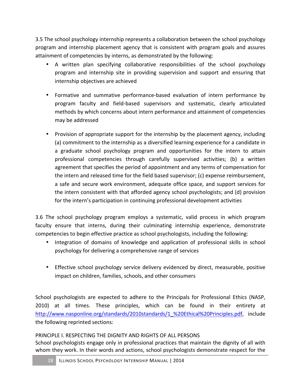3.5 The school psychology internship represents a collaboration between the school psychology program and internship placement agency that is consistent with program goals and assures attainment of competencies by interns, as demonstrated by the following:

- A written plan specifying collaborative responsibilities of the school psychology program and internship site in providing supervision and support and ensuring that internship objectives are achieved
- Formative and summative performance-based evaluation of intern performance by program faculty and field-based supervisors and systematic, clearly articulated methods by which concerns about intern performance and attainment of competencies may be addressed
- Provision of appropriate support for the internship by the placement agency, including (a) commitment to the internship as a diversified learning experience for a candidate in a graduate school psychology program and opportunities for the intern to attain professional competencies through carefully supervised activities; (b) a written agreement that specifies the period of appointment and any terms of compensation for the intern and released time for the field based supervisor; (c) expense reimbursement, a safe and secure work environment, adequate office space, and support services for the intern consistent with that afforded agency school psychologists; and (d) provision for the intern's participation in continuing professional development activities

3.6 The school psychology program employs a systematic, valid process in which program faculty ensure that interns, during their culminating internship experience, demonstrate competencies to begin effective practice as school psychologists, including the following:

- Integration of domains of knowledge and application of professional skills in school psychology for delivering a comprehensive range of services
- Effective school psychology service delivery evidenced by direct, measurable, positive impact on children, families, schools, and other consumers

School psychologists are expected to adhere to the Principals for Professional Ethics (NASP, 2010) at all times. These principles, which can be found in their entirety at http://www.nasponline.org/standards/2010standards/1 %20Ethical%20Principles.pdf, include the following reprinted sections:

### PRINCIPLE I. RESPECTING THE DIGNITY AND RIGHTS OF ALL PERSONS

School psychologists engage only in professional practices that maintain the dignity of all with whom they work. In their words and actions, school psychologists demonstrate respect for the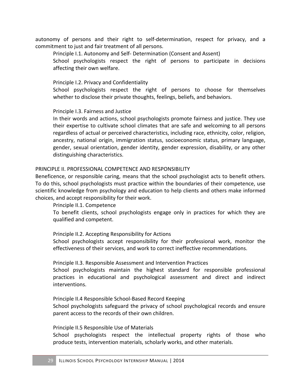autonomy of persons and their right to self-determination, respect for privacy, and a commitment to just and fair treatment of all persons.

Principle I.1. Autonomy and Self- Determination (Consent and Assent)

School psychologists respect the right of persons to participate in decisions affecting their own welfare.

Principle I.2. Privacy and Confidentiality

School psychologists respect the right of persons to choose for themselves whether to disclose their private thoughts, feelings, beliefs, and behaviors.

#### Principle I.3. Fairness and Justice

In their words and actions, school psychologists promote fairness and justice. They use their expertise to cultivate school climates that are safe and welcoming to all persons regardless of actual or perceived characteristics, including race, ethnicity, color, religion, ancestry, national origin, immigration status, socioeconomic status, primary language, gender, sexual orientation, gender identity, gender expression, disability, or any other distinguishing characteristics.

#### PRINCIPLE II. PROFESSIONAL COMPETENCE AND RESPONSIBILITY

Beneficence, or responsible caring, means that the school psychologist acts to benefit others. To do this, school psychologists must practice within the boundaries of their competence, use scientific knowledge from psychology and education to help clients and others make informed choices, and accept responsibility for their work.

#### Principle II.1. Competence

To benefit clients, school psychologists engage only in practices for which they are qualified and competent.

#### Principle II.2. Accepting Responsibility for Actions

School psychologists accept responsibility for their professional work, monitor the effectiveness of their services, and work to correct ineffective recommendations.

#### Principle II.3. Responsible Assessment and Intervention Practices

School psychologists maintain the highest standard for responsible professional practices in educational and psychological assessment and direct and indirect interventions.

#### Principle II.4 Responsible School-Based Record Keeping

School psychologists safeguard the privacy of school psychological records and ensure parent access to the records of their own children.

#### Principle II.5 Responsible Use of Materials

School psychologists respect the intellectual property rights of those who produce tests, intervention materials, scholarly works, and other materials.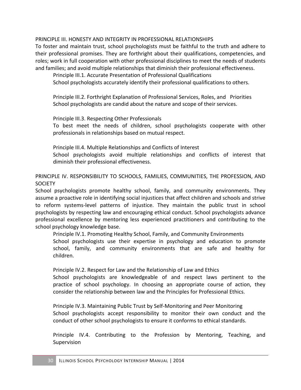### PRINCIPLE III. HONESTY AND INTEGRITY IN PROFESSIONAL RELATIONSHIPS

To foster and maintain trust, school psychologists must be faithful to the truth and adhere to their professional promises. They are forthright about their qualifications, competencies, and roles; work in full cooperation with other professional disciplines to meet the needs of students and families; and avoid multiple relationships that diminish their professional effectiveness.

Principle III.1. Accurate Presentation of Professional Qualifications

School psychologists accurately identify their professional qualifications to others.

Principle III.2. Forthright Explanation of Professional Services, Roles, and Priorities School psychologists are candid about the nature and scope of their services.

Principle III.3. Respecting Other Professionals

To best meet the needs of children, school psychologists cooperate with other professionals in relationships based on mutual respect.

Principle III.4. Multiple Relationships and Conflicts of Interest

School psychologists avoid multiple relationships and conflicts of interest that diminish their professional effectiveness.

PRINCIPLE IV. RESPONSIBILITY TO SCHOOLS, FAMILIES, COMMUNITIES, THE PROFESSION, AND **SOCIETY** 

School psychologists promote healthy school, family, and community environments. They assume a proactive role in identifying social injustices that affect children and schools and strive to reform systems-level patterns of injustice. They maintain the public trust in school psychologists by respecting law and encouraging ethical conduct. School psychologists advance professional excellence by mentoring less experienced practitioners and contributing to the school psychology knowledge base.

Principle IV.1. Promoting Healthy School, Family, and Community Environments School psychologists use their expertise in psychology and education to promote school, family, and community environments that are safe and healthy for children.

Principle IV.2. Respect for Law and the Relationship of Law and Ethics

School psychologists are knowledgeable of and respect laws pertinent to the practice of school psychology. In choosing an appropriate course of action, they consider the relationship between law and the Principles for Professional Ethics.

Principle IV.3. Maintaining Public Trust by Self-Monitoring and Peer Monitoring School psychologists accept responsibility to monitor their own conduct and the conduct of other school psychologists to ensure it conforms to ethical standards.

Principle IV.4. Contributing to the Profession by Mentoring, Teaching, and Supervision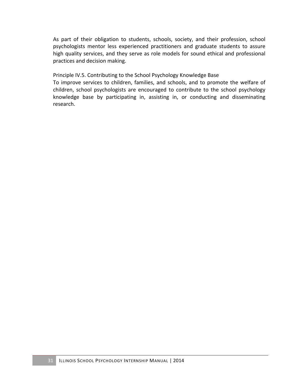As part of their obligation to students, schools, society, and their profession, school psychologists mentor less experienced practitioners and graduate students to assure high quality services, and they serve as role models for sound ethical and professional practices and decision making.

Principle IV.5. Contributing to the School Psychology Knowledge Base

To improve services to children, families, and schools, and to promote the welfare of children, school psychologists are encouraged to contribute to the school psychology knowledge base by participating in, assisting in, or conducting and disseminating research.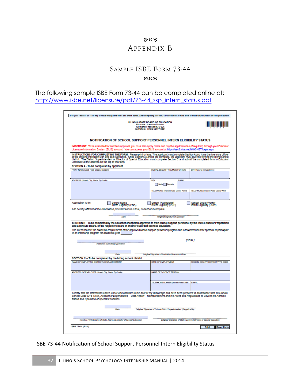### **LOC3** APPENDIX B

### SAMPLE ISBE FORM 73-44

#### 8003

The following sample ISBE Form 73-44 can be completed online at: http://www.isbe.net/licensure/pdf/73-44\_ssp\_intern\_status.pdf

| Use your "Mouse" or "Tab" key to move through the fields and check boxes. After completing last field, save document to hard drive to make future updates or click print button.                                                                                                                                                                                                                                              |                                                                                                                                              |                                                                    |  |  |  |  |  |  |  |  |
|-------------------------------------------------------------------------------------------------------------------------------------------------------------------------------------------------------------------------------------------------------------------------------------------------------------------------------------------------------------------------------------------------------------------------------|----------------------------------------------------------------------------------------------------------------------------------------------|--------------------------------------------------------------------|--|--|--|--|--|--|--|--|
|                                                                                                                                                                                                                                                                                                                                                                                                                               | <b>ILLINOIS STATE BOARD OF EDUCATION</b><br>Educator Licensure Division<br>100 North First Street, S-306<br>Springfield, Illinois 62777-0001 |                                                                    |  |  |  |  |  |  |  |  |
| NOTIFICATION OF SCHOOL SUPPORT PERSONNEL INTERN ELIGIBILITY STATUS<br>IMPORTANT: To be evaluated for an intern approval, you must also apply online and pay the applicable fee (if required) through your Educator                                                                                                                                                                                                            |                                                                                                                                              |                                                                    |  |  |  |  |  |  |  |  |
| Licensure Information System (ELIS) account. You can access your ELIS account at https://sec3.isbe.net/IWASNET/login.aspx.                                                                                                                                                                                                                                                                                                    |                                                                                                                                              |                                                                    |  |  |  |  |  |  |  |  |
| INSTRUCTIONS FOR COMPLETING THE FORM: Please print or type. The applicant must complete Section A and have the licensure officer<br>at the entitling institution sign and seal Section B. Once Sections A and B are complete, the<br>Licensure at the address on the top of this form.                                                                                                                                        |                                                                                                                                              |                                                                    |  |  |  |  |  |  |  |  |
| SECTION A - To be completed by applicant.                                                                                                                                                                                                                                                                                                                                                                                     |                                                                                                                                              |                                                                    |  |  |  |  |  |  |  |  |
| PRINT NAME (Last, First, Middle, Maiden)                                                                                                                                                                                                                                                                                                                                                                                      | SOCIAL SECURITY NUMBER OR IEIN                                                                                                               | BIRTHDATE (mm/dd/yyyy)                                             |  |  |  |  |  |  |  |  |
| ADDRESS (Street, City, State, Zip Code)                                                                                                                                                                                                                                                                                                                                                                                       | <b>REX</b><br><b>E-MAIL</b>                                                                                                                  |                                                                    |  |  |  |  |  |  |  |  |
|                                                                                                                                                                                                                                                                                                                                                                                                                               | Male Female                                                                                                                                  |                                                                    |  |  |  |  |  |  |  |  |
|                                                                                                                                                                                                                                                                                                                                                                                                                               | TELEPHONE (Include Area Code) Home                                                                                                           | TELEPHONE (Include Area Code) Work                                 |  |  |  |  |  |  |  |  |
| Application is for:<br>School Nurse<br>Intern Eligibility (PNA)<br>School Psychologist<br>Intern Eligibility (PSP)<br>School Social Worker<br>Intern Eligibility (PSW)                                                                                                                                                                                                                                                        |                                                                                                                                              |                                                                    |  |  |  |  |  |  |  |  |
| I do hereby affirm that the Information provided above Is true, correct and complete.<br>Data                                                                                                                                                                                                                                                                                                                                 |                                                                                                                                              |                                                                    |  |  |  |  |  |  |  |  |
|                                                                                                                                                                                                                                                                                                                                                                                                                               | Original Signature of Applicant                                                                                                              |                                                                    |  |  |  |  |  |  |  |  |
| SECTION B - To be completed by the education institution approved to train school support personnel by the State Educator Preparation<br>and Licensure Board, or the respective board in another state that licenses educators.<br>The intern has met the academic requirements of the approved school support personnel program and is recommended for approval to participate<br>in an internship program for academic year |                                                                                                                                              | <b>ISEAL1</b>                                                      |  |  |  |  |  |  |  |  |
| Institution Submitting Application                                                                                                                                                                                                                                                                                                                                                                                            |                                                                                                                                              |                                                                    |  |  |  |  |  |  |  |  |
| <b>Clarks</b>                                                                                                                                                                                                                                                                                                                                                                                                                 | Original Signature of Institution Licensure Officer                                                                                          |                                                                    |  |  |  |  |  |  |  |  |
| SECTION C - To be completed by the hiring school district.                                                                                                                                                                                                                                                                                                                                                                    |                                                                                                                                              |                                                                    |  |  |  |  |  |  |  |  |
| NAME OF EMPLOYING DISTRICT/JOINT AGREEMENT                                                                                                                                                                                                                                                                                                                                                                                    | DATE OF EMPLOYMENT                                                                                                                           | REGION, COUNTY, DISTRICT TYPE CODE                                 |  |  |  |  |  |  |  |  |
| ADDRESS OF EMPLOYER (Street, City, State, Zip Code)                                                                                                                                                                                                                                                                                                                                                                           | NAME OF CONTACT PERSON                                                                                                                       |                                                                    |  |  |  |  |  |  |  |  |
|                                                                                                                                                                                                                                                                                                                                                                                                                               |                                                                                                                                              | <b>E-MAIL</b>                                                      |  |  |  |  |  |  |  |  |
|                                                                                                                                                                                                                                                                                                                                                                                                                               | TELEPHONE NUMBER (Indude Area Code)                                                                                                          |                                                                    |  |  |  |  |  |  |  |  |
| I certify that the Information above is true and accurate to the best of my knowledge and have been prepared in accordance with 105 Illinois<br>School Code 5/14-12.01, Account of Expenditures - Cost Report - Reimbursement and the Rules and Regulations to Govern the Adminis-<br>tration and Operation of Special Education.                                                                                             |                                                                                                                                              |                                                                    |  |  |  |  |  |  |  |  |
| Date                                                                                                                                                                                                                                                                                                                                                                                                                          | Original Signature of School District Superintendent (if Applicable)                                                                         |                                                                    |  |  |  |  |  |  |  |  |
| Typed or Printed Name of State-Approved Director of Special Education                                                                                                                                                                                                                                                                                                                                                         |                                                                                                                                              | Original Signature of State-Approved Director of Special Education |  |  |  |  |  |  |  |  |

ISBE 73-44 Notification of School Support Personnel Intern Eligibility Status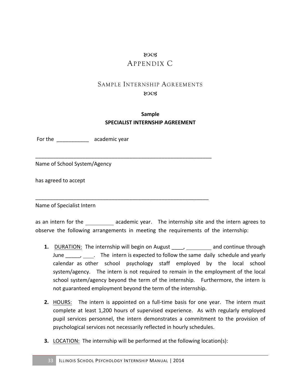### 80CB APPENDIX C

# SAMPLE INTERNSHIP AGREEMENTS

#### $80C<sub>3</sub>$

### **Sample SPECIALIST INTERNSHIP AGREEMENT**

\_\_\_\_\_\_\_\_\_\_\_\_\_\_\_\_\_\_\_\_\_\_\_\_\_\_\_\_\_\_\_\_\_\_\_\_\_\_\_\_\_\_\_\_\_\_\_\_\_\_\_\_\_\_\_\_\_\_\_\_

\_\_\_\_\_\_\_\_\_\_\_\_\_\_\_\_\_\_\_\_\_\_\_\_\_\_\_\_\_\_\_\_\_\_\_\_\_\_\_\_\_\_\_\_\_\_\_\_\_\_\_\_\_\_\_\_\_\_\_

For the academic year

Name of School System/Agency

has agreed to accept

Name of Specialist Intern

as an intern for the academic year. The internship site and the intern agrees to observe the following arrangements in meeting the requirements of the internship:

- **1.** DURATION: The internship will begin on August \_\_\_\_, \_\_\_\_\_\_\_\_ and continue through June The intern is expected to follow the same daily schedule and yearly calendar as other school psychology staff employed by the local school system/agency. The intern is not required to remain in the employment of the local school system/agency beyond the term of the internship. Furthermore, the intern is not guaranteed employment beyond the term of the internship.
- **2.** HOURS: The intern is appointed on a full-time basis for one year. The intern must complete at least 1,200 hours of supervised experience. As with regularly employed pupil services personnel, the intern demonstrates a commitment to the provision of psychological services not necessarily reflected in hourly schedules.
- **3.** LOCATION: The internship will be performed at the following location(s):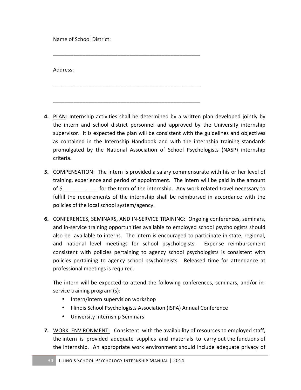Name of School District:

Address: 

**4.** PLAN: Internship activities shall be determined by a written plan developed jointly by the intern and school district personnel and approved by the University internship supervisor. It is expected the plan will be consistent with the guidelines and objectives as contained in the Internship Handbook and with the internship training standards promulgated by the National Association of School Psychologists (NASP) internship criteria.

\_\_\_\_\_\_\_\_\_\_\_\_\_\_\_\_\_\_\_\_\_\_\_\_\_\_\_\_\_\_\_\_\_\_\_\_\_\_\_\_\_\_\_\_\_\_\_\_\_\_

\_\_\_\_\_\_\_\_\_\_\_\_\_\_\_\_\_\_\_\_\_\_\_\_\_\_\_\_\_\_\_\_\_\_\_\_\_\_\_\_\_\_\_\_\_\_\_\_\_\_

\_\_\_\_\_\_\_\_\_\_\_\_\_\_\_\_\_\_\_\_\_\_\_\_\_\_\_\_\_\_\_\_\_\_\_\_\_\_\_\_\_\_\_\_\_\_\_\_\_\_

- **5.** COMPENSATION: The intern is provided a salary commensurate with his or her level of training, experience and period of appointment. The intern will be paid in the amount of \$ for the term of the internship. Any work related travel necessary to fulfill the requirements of the internship shall be reimbursed in accordance with the policies of the local school system/agency.
- **6.** CONFERENCES, SEMINARS, AND IN-SERVICE TRAINING: Ongoing conferences, seminars, and in-service training opportunities available to employed school psychologists should also be available to interns. The intern is encouraged to participate in state, regional, and national level meetings for school psychologists. Expense reimbursement consistent with policies pertaining to agency school psychologists is consistent with policies pertaining to agency school psychologists. Released time for attendance at professional meetings is required.

The intern will be expected to attend the following conferences, seminars, and/or inservice training program (s):

- Intern/intern supervision workshop
- Illinois School Psychologists Association (ISPA) Annual Conference
- University Internship Seminars
- **7.** WORK ENVIRONMENT: Consistent with the availability of resources to employed staff, the intern is provided adequate supplies and materials to carry out the functions of the internship. An appropriate work environment should include adequate privacy of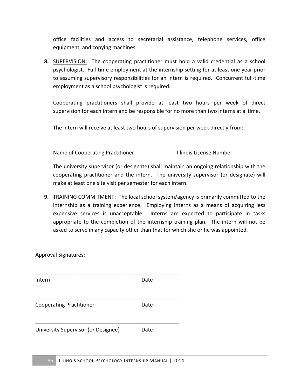office facilities and access to secretarial assistance, telephone services, office equipment, and copying machines.

**8.** SUPERVISION: The cooperating practitioner must hold a valid credential as a school psychologist. Full-time employment at the internship setting for at least one year prior to assuming supervisory responsibilities for an intern is required. Concurrent full-time employment as a school psychologist is required.

Cooperating practitioners shall provide at least two hours per week of direct supervision for each intern and be responsible for no more than two interns at a time.

The intern will receive at least two hours of supervision per week directly from:

\_\_\_\_\_\_\_\_\_\_\_\_\_\_\_\_\_\_\_\_\_\_\_\_\_\_\_\_\_\_\_\_\_\_\_\_\_\_\_\_\_\_\_\_\_\_\_\_\_\_\_\_\_\_\_\_\_\_\_\_\_ Name of Cooperating Practitioner **Illinois License Number** 

The university supervisor (or designate) shall maintain an ongoing relationship with the cooperating practitioner and the intern. The university supervisor (or designate) will make at least one site visit per semester for each intern.

**9.** TRAINING COMMITMENT: The local school system/agency is primarily committed to the internship as a training experience. Employing interns as a means of acquiring less expensive services is unacceptable. Interns are expected to participate in tasks appropriate to the completion of the internship training plan. The intern will not be asked to serve in any capacity other than that for which she or he was appointed.

Approval Signatures: 

| Intern                              | Date |  |
|-------------------------------------|------|--|
| <b>Cooperating Practitioner</b>     | Date |  |
| University Supervisor (or Designee) | Date |  |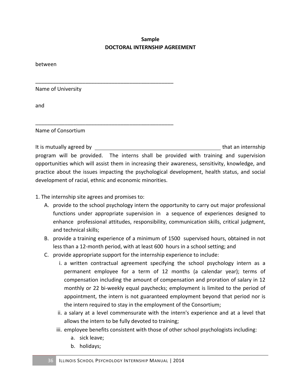### **Sample DOCTORAL INTERNSHIP AGREEMENT**

between

Name of University

and

Name of Consortium

It is mutually agreed by  $\blacksquare$  and the solution of the solution of that an internship program will be provided. The interns shall be provided with training and supervision opportunities which will assist them in increasing their awareness, sensitivity, knowledge, and practice about the issues impacting the psychological development, health status, and social development of racial, ethnic and economic minorities.

1. The internship site agrees and promises to:

\_\_\_\_\_\_\_\_\_\_\_\_\_\_\_\_\_\_\_\_\_\_\_\_\_\_\_\_\_\_\_\_\_\_\_\_\_\_\_\_\_\_\_\_\_\_\_

\_\_\_\_\_\_\_\_\_\_\_\_\_\_\_\_\_\_\_\_\_\_\_\_\_\_\_\_\_\_\_\_\_\_\_\_\_\_\_\_\_\_\_\_\_\_\_

- A. provide to the school psychology intern the opportunity to carry out major professional functions under appropriate supervision in a sequence of experiences designed to enhance professional attitudes, responsibility, communication skills, critical judgment, and technical skills;
- B. provide a training experience of a minimum of 1500 supervised hours, obtained in not less than a 12-month period, with at least 600 hours in a school setting; and
- C. provide appropriate support for the internship experience to include:
	- i. a written contractual agreement specifying the school psychology intern as a permanent employee for a term of 12 months (a calendar year); terms of compensation including the amount of compensation and proration of salary in 12 monthly or 22 bi-weekly equal paychecks; employment is limited to the period of appointment, the intern is not guaranteed employment beyond that period nor is the intern required to stay in the employment of the Consortium;
	- ii. a salary at a level commensurate with the intern's experience and at a level that allows the intern to be fully devoted to training;
	- iii. employee benefits consistent with those of other school psychologists including:
		- a. sick leave;
		- b. holidays;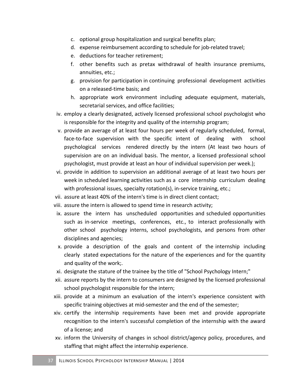- c. optional group hospitalization and surgical benefits plan;
- d. expense reimbursement according to schedule for job-related travel;
- e. deductions for teacher retirement;
- f. other benefits such as pretax withdrawal of health insurance premiums, annuities, etc.;
- g. provision for participation in continuing professional development activities on a released-time basis; and
- h. appropriate work environment including adequate equipment, materials, secretarial services, and office facilities;
- iv. employ a clearly designated, actively licensed professional school psychologist who is responsible for the integrity and quality of the internship program;
- v. provide an average of at least four hours per week of regularly scheduled, formal, face-to-face supervision with the specific intent of dealing with school psychological services rendered directly by the intern (At least two hours of supervision are on an individual basis. The mentor, a licensed professional school psychologist, must provide at least an hour of individual supervision per week.);
- vi. provide in addition to supervision an additional average of at least two hours per week in scheduled learning activities such as a core internship curriculum dealing with professional issues, specialty rotation(s), in-service training, etc.;
- vii. assure at least 40% of the intern's time is in direct client contact;
- viii. assure the intern is allowed to spend time in research activity;
- ix. assure the intern has unscheduled opportunities and scheduled opportunities such as in-service meetings, conferences, etc., to interact professionally with other school psychology interns, school psychologists, and persons from other disciplines and agencies;
- x. provide a description of the goals and content of the internship including clearly stated expectations for the nature of the experiences and for the quantity and quality of the work;.
- xi. designate the stature of the trainee by the title of "School Psychology Intern;"
- xii. assure reports by the intern to consumers are designed by the licensed professional school psychologist responsible for the intern;
- xiii. provide at a minimum an evaluation of the intern's experience consistent with specific training objectives at mid-semester and the end of the semester;
- xiv. certify the internship requirements have been met and provide appropriate recognition to the intern's successful completion of the internship with the award of a license; and
- xv. inform the University of changes in school district/agency policy, procedures, and staffing that might affect the internship experience.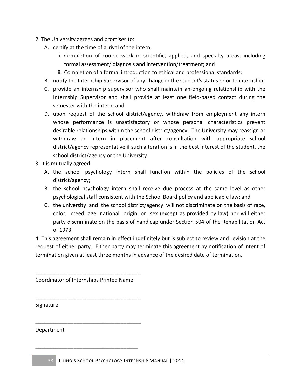- 2. The University agrees and promises to:
	- A. certify at the time of arrival of the intern:
		- i. Completion of course work in scientific, applied, and specialty areas, including formal assessment/ diagnosis and intervention/treatment; and
		- ii. Completion of a formal introduction to ethical and professional standards;
	- B. notify the Internship Supervisor of any change in the student's status prior to internship;
	- C. provide an internship supervisor who shall maintain an-ongoing relationship with the Internship Supervisor and shall provide at least one field-based contact during the semester with the intern; and
	- D. upon request of the school district/agency, withdraw from employment any intern whose performance is unsatisfactory or whose personal characteristics prevent desirable relationships within the school district/agency. The University may reassign or withdraw an intern in placement after consultation with appropriate school district/agency representative if such alteration is in the best interest of the student, the school district/agency or the University.
- 3. It is mutually agreed:
	- A. the school psychology intern shall function within the policies of the school district/agency;
	- B. the school psychology intern shall receive due process at the same level as other psychological staff consistent with the School Board policy and applicable law; and
	- C. the university and the school district/agency will not discriminate on the basis of race, color, creed, age, national origin, or sex (except as provided by law) nor will either party discriminate on the basis of handicap under Section 504 of the Rehabilitation Act of 1973.

4. This agreement shall remain in effect indefinitely but is subject to review and revision at the request of either party. Either party may terminate this agreement by notification of intent of termination given at least three months in advance of the desired date of termination.

Coordinator of Internships Printed Name

\_\_\_\_\_\_\_\_\_\_\_\_\_\_\_\_\_\_\_\_\_\_\_\_\_\_\_\_\_\_\_\_\_\_\_\_

\_\_\_\_\_\_\_\_\_\_\_\_\_\_\_\_\_\_\_\_\_\_\_\_\_\_\_\_\_\_\_\_\_\_\_\_

\_\_\_\_\_\_\_\_\_\_\_\_\_\_\_\_\_\_\_\_\_\_\_\_\_\_\_\_\_\_\_\_\_\_\_\_

\_\_\_\_\_\_\_\_\_\_\_\_\_\_\_\_\_\_\_\_\_\_\_\_\_\_\_\_\_\_\_\_\_\_\_

Signature

Department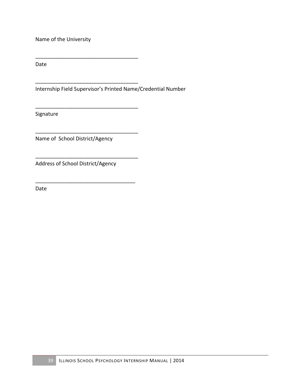Name of the University

\_\_\_\_\_\_\_\_\_\_\_\_\_\_\_\_\_\_\_\_\_\_\_\_\_\_\_\_\_\_\_\_\_\_\_

\_\_\_\_\_\_\_\_\_\_\_\_\_\_\_\_\_\_\_\_\_\_\_\_\_\_\_\_\_\_\_\_\_\_\_

\_\_\_\_\_\_\_\_\_\_\_\_\_\_\_\_\_\_\_\_\_\_\_\_\_\_\_\_\_\_\_\_\_\_\_

\_\_\_\_\_\_\_\_\_\_\_\_\_\_\_\_\_\_\_\_\_\_\_\_\_\_\_\_\_\_\_\_\_\_\_

\_\_\_\_\_\_\_\_\_\_\_\_\_\_\_\_\_\_\_\_\_\_\_\_\_\_\_\_\_\_\_\_\_\_\_

\_\_\_\_\_\_\_\_\_\_\_\_\_\_\_\_\_\_\_\_\_\_\_\_\_\_\_\_\_\_\_\_\_\_

Date

Internship Field Supervisor's Printed Name/Credential Number

Signature

Name of School District/Agency

Address of School District/Agency

Date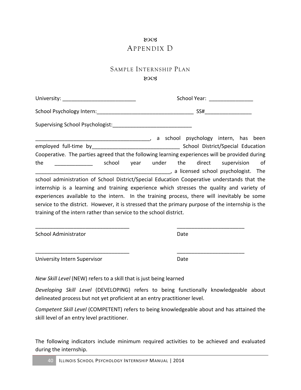### 8003 APPENDIX D

### SAMPLE INTERNSHIP PLAN

#### **ROCS**

|                                                                    | School Year: _________________                                                                     |
|--------------------------------------------------------------------|----------------------------------------------------------------------------------------------------|
|                                                                    |                                                                                                    |
|                                                                    |                                                                                                    |
|                                                                    | a school psychology intern, has been improve that the summary a school psychology intern, has been |
|                                                                    |                                                                                                    |
|                                                                    | Cooperative. The parties agreed that the following learning experiences will be provided during    |
| the<br>school                                                      | year under the direct supervision of                                                               |
|                                                                    | a licensed school psychologist. The                                                                |
|                                                                    | school administration of School District/Special Education Cooperative understands that the        |
|                                                                    | internship is a learning and training experience which stresses the quality and variety of         |
|                                                                    | experiences available to the intern. In the training process, there will inevitably be some        |
|                                                                    | service to the district. However, it is stressed that the primary purpose of the internship is the |
| training of the intern rather than service to the school district. |                                                                                                    |
|                                                                    |                                                                                                    |
| <b>School Administrator</b>                                        | Date                                                                                               |

University Intern Supervisor **Date** 

*New Skill Level* (NEW) refers to a skill that is just being learned

*Developing Skill Level* (DEVELOPING) refers to being functionally knowledgeable about delineated process but not yet proficient at an entry practitioner level.

\_\_\_\_\_\_\_\_\_\_\_\_\_\_\_\_\_\_\_\_\_\_\_\_\_\_\_\_\_\_\_\_ \_\_\_\_\_\_\_\_\_\_\_\_\_\_\_\_\_\_\_\_\_\_\_

*Competent Skill Level* (COMPETENT) refers to being knowledgeable about and has attained the skill level of an entry level practitioner.

The following indicators include minimum required activities to be achieved and evaluated during the internship.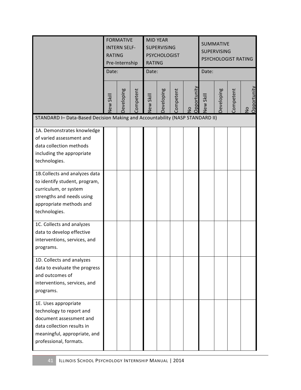|                                                                                                                                                                     | <b>FORMATIVE</b><br><b>INTERN SELF-</b><br><b>RATING</b><br>Pre-Internship<br>Date: |            |           | <b>RATING</b><br>Date: | <b>MID YEAR</b><br><b>SUPERVISING</b><br><b>PSYCHOLOGIST</b> |           |                                     | <b>SUMMATIVE</b><br><b>SUPERVISING</b><br>PSYCHOLOGIST RATING<br>Date: |            |           |                              |
|---------------------------------------------------------------------------------------------------------------------------------------------------------------------|-------------------------------------------------------------------------------------|------------|-----------|------------------------|--------------------------------------------------------------|-----------|-------------------------------------|------------------------------------------------------------------------|------------|-----------|------------------------------|
|                                                                                                                                                                     | New Skill                                                                           | Developing | Competent | New Skill              | Developing                                                   | Competent | <b>Opportunity</b><br>$\frac{1}{2}$ | New Skill                                                              | Developing | Competent | Opportunity<br>$\frac{1}{2}$ |
| STANDARD I- Data-Based Decision Making and Accountability (NASP STANDARD II)                                                                                        |                                                                                     |            |           |                        |                                                              |           |                                     |                                                                        |            |           |                              |
| 1A. Demonstrates knowledge<br>of varied assessment and<br>data collection methods<br>including the appropriate<br>technologies.                                     |                                                                                     |            |           |                        |                                                              |           |                                     |                                                                        |            |           |                              |
| 1B.Collects and analyzes data<br>to identify student, program,<br>curriculum, or system<br>strengths and needs using<br>appropriate methods and<br>technologies.    |                                                                                     |            |           |                        |                                                              |           |                                     |                                                                        |            |           |                              |
| 1C. Collects and analyzes<br>data to develop effective<br>interventions, services, and<br>programs.                                                                 |                                                                                     |            |           |                        |                                                              |           |                                     |                                                                        |            |           |                              |
| 1D. Collects and analyzes<br>data to evaluate the progress<br>and outcomes of<br>interventions, services, and<br>programs.                                          |                                                                                     |            |           |                        |                                                              |           |                                     |                                                                        |            |           |                              |
| 1E. Uses appropriate<br>technology to report and<br>document assessment and<br>data collection results in<br>meaningful, appropriate, and<br>professional, formats. |                                                                                     |            |           |                        |                                                              |           |                                     |                                                                        |            |           |                              |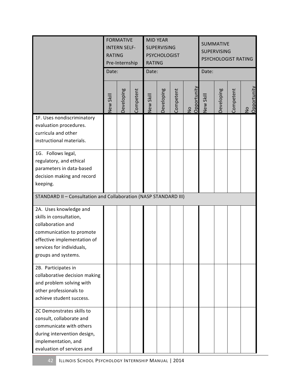|                                                                                                                                                                                       | <b>FORMATIVE</b><br><b>INTERN SELF-</b><br><b>RATING</b><br>Pre-Internship<br>Date: |            |           | <b>RATING</b><br>Date: | <b>MID YEAR</b><br><b>SUPERVISING</b><br><b>PSYCHOLOGIST</b> |           |                   | <b>SUMMATIVE</b><br><b>SUPERVISING</b><br>PSYCHOLOGIST RATING<br>Date: |            |           |                   |
|---------------------------------------------------------------------------------------------------------------------------------------------------------------------------------------|-------------------------------------------------------------------------------------|------------|-----------|------------------------|--------------------------------------------------------------|-----------|-------------------|------------------------------------------------------------------------|------------|-----------|-------------------|
|                                                                                                                                                                                       | New Skill                                                                           | Developing | Competent | New Skill              | Developing                                                   | Competent | No<br>Opportunity | New Skill                                                              | Developing | Competent | No<br>Opportunity |
| 1F. Uses nondiscriminatory<br>evaluation procedures.<br>curricula and other<br>instructional materials.                                                                               |                                                                                     |            |           |                        |                                                              |           |                   |                                                                        |            |           |                   |
| 1G. Follows legal,<br>regulatory, and ethical<br>parameters in data-based<br>decision making and record<br>keeping.                                                                   |                                                                                     |            |           |                        |                                                              |           |                   |                                                                        |            |           |                   |
| STANDARD II - Consultation and Collaboration (NASP STANDARD III)                                                                                                                      |                                                                                     |            |           |                        |                                                              |           |                   |                                                                        |            |           |                   |
| 2A. Uses knowledge and<br>skills in consultation,<br>collaboration and<br>communication to promote<br>effective implementation of<br>services for individuals,<br>groups and systems. |                                                                                     |            |           |                        |                                                              |           |                   |                                                                        |            |           |                   |
| 2B. Participates in<br>collaborative decision making<br>and problem solving with<br>other professionals to<br>achieve student success.                                                |                                                                                     |            |           |                        |                                                              |           |                   |                                                                        |            |           |                   |
| 2C Demonstrates skills to<br>consult, collaborate and<br>communicate with others<br>during intervention design,<br>implementation, and<br>evaluation of services and                  |                                                                                     |            |           |                        |                                                              |           |                   |                                                                        |            |           |                   |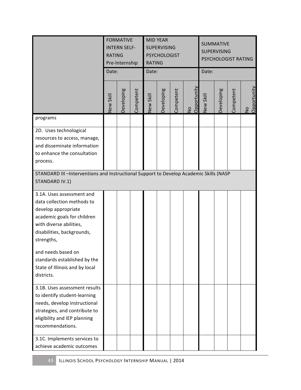|                                                                                                                                                                                                                    | <b>FORMATIVE</b><br><b>INTERN SELF-</b><br><b>RATING</b><br>Pre-Internship<br>Date:    |            |           | <b>RATING</b><br>Date: | <b>MID YEAR</b><br><b>SUPERVISING</b><br><b>PSYCHOLOGIST</b> |           |                   | <b>SUMMATIVE</b><br><b>SUPERVISING</b><br>PSYCHOLOGIST RATING<br>Date: |            |           |                              |
|--------------------------------------------------------------------------------------------------------------------------------------------------------------------------------------------------------------------|----------------------------------------------------------------------------------------|------------|-----------|------------------------|--------------------------------------------------------------|-----------|-------------------|------------------------------------------------------------------------|------------|-----------|------------------------------|
|                                                                                                                                                                                                                    | New Skill                                                                              | Developing | Competent | New Skill              | Developing                                                   | Competent | No<br>Opportunity | New Skill                                                              | Developing | Competent | Opportunity<br>$\frac{1}{2}$ |
| programs                                                                                                                                                                                                           |                                                                                        |            |           |                        |                                                              |           |                   |                                                                        |            |           |                              |
| 2D. Uses technological<br>resources to access, manage,<br>and disseminate information<br>to enhance the consultation<br>process.                                                                                   |                                                                                        |            |           |                        |                                                              |           |                   |                                                                        |            |           |                              |
| STANDARD IV.1)                                                                                                                                                                                                     | STANDARD III -Interventions and Instructional Support to Develop Academic Skills (NASP |            |           |                        |                                                              |           |                   |                                                                        |            |           |                              |
| 3.1A. Uses assessment and<br>data collection methods to<br>develop appropriate<br>academic goals for children<br>with diverse abilities,<br>disabilities, backgrounds,<br>strengths,                               |                                                                                        |            |           |                        |                                                              |           |                   |                                                                        |            |           |                              |
| and needs based on<br>standards established by the<br>State of Illinois and by local<br>districts.                                                                                                                 |                                                                                        |            |           |                        |                                                              |           |                   |                                                                        |            |           |                              |
| 3.1B. Uses assessment results<br>to identify student-learning<br>needs, develop instructional<br>strategies, and contribute to<br>eligibility and IEP planning<br>recommendations.<br>3.1C. Implements services to |                                                                                        |            |           |                        |                                                              |           |                   |                                                                        |            |           |                              |
| achieve academic outcomes                                                                                                                                                                                          |                                                                                        |            |           |                        |                                                              |           |                   |                                                                        |            |           |                              |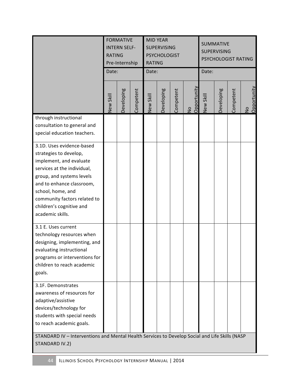|                                                                                                                                                                                                                                                                              | <b>FORMATIVE</b><br><b>INTERN SELF-</b><br><b>RATING</b><br>Pre-Internship<br>Date: |            |           | <b>RATING</b><br>Date: | <b>MID YEAR</b><br><b>SUPERVISING</b><br><b>PSYCHOLOGIST</b> |           |                              | <b>SUMMATIVE</b><br><b>SUPERVISING</b><br>PSYCHOLOGIST RATING<br>Date: |            |           |                   |
|------------------------------------------------------------------------------------------------------------------------------------------------------------------------------------------------------------------------------------------------------------------------------|-------------------------------------------------------------------------------------|------------|-----------|------------------------|--------------------------------------------------------------|-----------|------------------------------|------------------------------------------------------------------------|------------|-----------|-------------------|
|                                                                                                                                                                                                                                                                              | New Skill                                                                           | Developing | Competent | New Skill              | Developing                                                   | Competent | Opportunity<br>$\frac{1}{2}$ | New Skill                                                              | Developing | Competent | No<br>Opportunity |
| through instructional<br>consultation to general and<br>special education teachers.                                                                                                                                                                                          |                                                                                     |            |           |                        |                                                              |           |                              |                                                                        |            |           |                   |
| 3.1D. Uses evidence-based<br>strategies to develop,<br>implement, and evaluate<br>services at the individual,<br>group, and systems levels<br>and to enhance classroom,<br>school, home, and<br>community factors related to<br>children's cognitive and<br>academic skills. |                                                                                     |            |           |                        |                                                              |           |                              |                                                                        |            |           |                   |
| 3.1 E. Uses current<br>technology resources when<br>designing, implementing, and<br>evaluating instructional<br>programs or interventions for<br>children to reach academic<br>goals.                                                                                        |                                                                                     |            |           |                        |                                                              |           |                              |                                                                        |            |           |                   |
| 3.1F. Demonstrates<br>awareness of resources for<br>adaptive/assistive<br>devices/technology for<br>students with special needs<br>to reach academic goals.                                                                                                                  |                                                                                     |            |           |                        |                                                              |           |                              |                                                                        |            |           |                   |
| STANDARD IV - Interventions and Mental Health Services to Develop Social and Life Skills (NASP<br>STANDARD IV.2)                                                                                                                                                             |                                                                                     |            |           |                        |                                                              |           |                              |                                                                        |            |           |                   |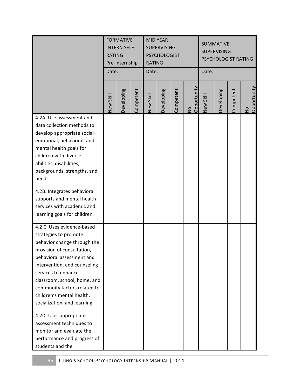|                                                                                                                                                                                                                                                                                                                                   | <b>FORMATIVE</b><br><b>INTERN SELF-</b><br><b>RATING</b><br>Pre-Internship<br>Date: |            |           | <b>RATING</b><br>Date: | <b>MID YEAR</b><br><b>SUPERVISING</b><br><b>PSYCHOLOGIST</b> |           |                             | <b>SUMMATIVE</b><br><b>SUPERVISING</b><br>PSYCHOLOGIST RATING<br>Date: |            |           |                              |
|-----------------------------------------------------------------------------------------------------------------------------------------------------------------------------------------------------------------------------------------------------------------------------------------------------------------------------------|-------------------------------------------------------------------------------------|------------|-----------|------------------------|--------------------------------------------------------------|-----------|-----------------------------|------------------------------------------------------------------------|------------|-----------|------------------------------|
|                                                                                                                                                                                                                                                                                                                                   | New Skill                                                                           | Developing | Competent | New Skill              | Developing                                                   | Competent | Opportunit<br>$\frac{1}{2}$ | New Skill                                                              | Developing | Competent | Opportunity<br>$\frac{1}{2}$ |
| 4.2A. Use assessment and<br>data collection methods to<br>develop appropriate social-<br>emotional, behavioral, and<br>mental health goals for<br>children with diverse<br>abilities, disabilities,<br>backgrounds, strengths, and<br>needs.                                                                                      |                                                                                     |            |           |                        |                                                              |           |                             |                                                                        |            |           |                              |
| 4.2B. Integrates behavioral<br>supports and mental health<br>services with academic and<br>learning goals for children.                                                                                                                                                                                                           |                                                                                     |            |           |                        |                                                              |           |                             |                                                                        |            |           |                              |
| 4.2 C. Uses evidence-based<br>strategies to promote<br>behavior change through the<br>provision of consultation,<br>behavioral assessment and<br>intervention, and counseling<br>services to enhance<br>classroom, school, home, and<br>community factors related to<br>children's mental health,<br>socialization, and learning. |                                                                                     |            |           |                        |                                                              |           |                             |                                                                        |            |           |                              |
| 4.2D. Uses appropriate<br>assessment techniques to<br>monitor and evaluate the<br>performance and progress of<br>students and the                                                                                                                                                                                                 |                                                                                     |            |           |                        |                                                              |           |                             |                                                                        |            |           |                              |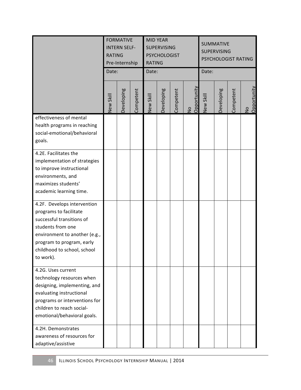|                                                                                                                                                                                                                                | <b>RATING</b><br>Date: | <b>FORMATIVE</b><br><b>INTERN SELF-</b><br>Pre-Internship |           | <b>RATING</b><br>Date: | <b>MID YEAR</b><br><b>SUPERVISING</b><br><b>PSYCHOLOGIST</b> |           |                              | <b>SUMMATIVE</b><br><b>SUPERVISING</b><br>PSYCHOLOGIST RATING<br>Date: |            |           |                   |
|--------------------------------------------------------------------------------------------------------------------------------------------------------------------------------------------------------------------------------|------------------------|-----------------------------------------------------------|-----------|------------------------|--------------------------------------------------------------|-----------|------------------------------|------------------------------------------------------------------------|------------|-----------|-------------------|
|                                                                                                                                                                                                                                | New Skill              | Developing                                                | Competent | New Skill              | Developing                                                   | Competent | Opportunity<br>$\frac{1}{2}$ | New Skill                                                              | Developing | Competent | No<br>Opportunity |
| effectiveness of mental<br>health programs in reaching<br>social-emotional/behavioral<br>goals.                                                                                                                                |                        |                                                           |           |                        |                                                              |           |                              |                                                                        |            |           |                   |
| 4.2E. Facilitates the<br>implementation of strategies<br>to improve instructional<br>environments, and<br>maximizes students'<br>academic learning time.                                                                       |                        |                                                           |           |                        |                                                              |           |                              |                                                                        |            |           |                   |
| 4.2F. Develops intervention<br>programs to facilitate<br>successful transitions of<br>students from one<br>environment to another (e.g.,<br>program to program, early<br>childhood to school, school<br>to work).              |                        |                                                           |           |                        |                                                              |           |                              |                                                                        |            |           |                   |
| 4.2G. Uses current<br>technology resources when<br>designing, implementing, and<br>evaluating instructional<br>programs or interventions for<br>children to reach social-<br>emotional/behavioral goals.<br>4.2H. Demonstrates |                        |                                                           |           |                        |                                                              |           |                              |                                                                        |            |           |                   |
| awareness of resources for<br>adaptive/assistive                                                                                                                                                                               |                        |                                                           |           |                        |                                                              |           |                              |                                                                        |            |           |                   |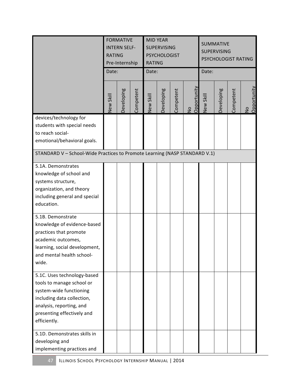|                                                                            | <b>FORMATIVE</b><br><b>INTERN SELF-</b><br><b>RATING</b><br>Pre-Internship<br>Date: |            |           | <b>RATING</b><br>Date: | <b>MID YEAR</b><br><b>SUPERVISING</b><br><b>PSYCHOLOGIST</b> |           |                               | <b>SUMMATIVE</b><br><b>SUPERVISING</b><br>PSYCHOLOGIST RATING<br>Date: |            |           |                            |
|----------------------------------------------------------------------------|-------------------------------------------------------------------------------------|------------|-----------|------------------------|--------------------------------------------------------------|-----------|-------------------------------|------------------------------------------------------------------------|------------|-----------|----------------------------|
|                                                                            | New Skill                                                                           | Developing | Competent | New Skill              | Developing                                                   | Competent | Opportunity<br>$\overline{z}$ | New Skill                                                              | Developing | Competent | Opportunity<br>$rac{1}{2}$ |
| devices/technology for<br>students with special needs                      |                                                                                     |            |           |                        |                                                              |           |                               |                                                                        |            |           |                            |
| to reach social-                                                           |                                                                                     |            |           |                        |                                                              |           |                               |                                                                        |            |           |                            |
| emotional/behavioral goals.                                                |                                                                                     |            |           |                        |                                                              |           |                               |                                                                        |            |           |                            |
| STANDARD V - School-Wide Practices to Promote Learning (NASP STANDARD V.1) |                                                                                     |            |           |                        |                                                              |           |                               |                                                                        |            |           |                            |
| 5.1A. Demonstrates                                                         |                                                                                     |            |           |                        |                                                              |           |                               |                                                                        |            |           |                            |
| knowledge of school and                                                    |                                                                                     |            |           |                        |                                                              |           |                               |                                                                        |            |           |                            |
| systems structure,                                                         |                                                                                     |            |           |                        |                                                              |           |                               |                                                                        |            |           |                            |
| organization, and theory                                                   |                                                                                     |            |           |                        |                                                              |           |                               |                                                                        |            |           |                            |
| including general and special                                              |                                                                                     |            |           |                        |                                                              |           |                               |                                                                        |            |           |                            |
| education.                                                                 |                                                                                     |            |           |                        |                                                              |           |                               |                                                                        |            |           |                            |
| 5.1B. Demonstrate                                                          |                                                                                     |            |           |                        |                                                              |           |                               |                                                                        |            |           |                            |
| knowledge of evidence-based                                                |                                                                                     |            |           |                        |                                                              |           |                               |                                                                        |            |           |                            |
| practices that promote                                                     |                                                                                     |            |           |                        |                                                              |           |                               |                                                                        |            |           |                            |
| academic outcomes,                                                         |                                                                                     |            |           |                        |                                                              |           |                               |                                                                        |            |           |                            |
| learning, social development,                                              |                                                                                     |            |           |                        |                                                              |           |                               |                                                                        |            |           |                            |
| and mental health school-                                                  |                                                                                     |            |           |                        |                                                              |           |                               |                                                                        |            |           |                            |
| wide.                                                                      |                                                                                     |            |           |                        |                                                              |           |                               |                                                                        |            |           |                            |
| 5.1C. Uses technology-based                                                |                                                                                     |            |           |                        |                                                              |           |                               |                                                                        |            |           |                            |
| tools to manage school or                                                  |                                                                                     |            |           |                        |                                                              |           |                               |                                                                        |            |           |                            |
| system-wide functioning                                                    |                                                                                     |            |           |                        |                                                              |           |                               |                                                                        |            |           |                            |
| including data collection,                                                 |                                                                                     |            |           |                        |                                                              |           |                               |                                                                        |            |           |                            |
| analysis, reporting, and                                                   |                                                                                     |            |           |                        |                                                              |           |                               |                                                                        |            |           |                            |
| presenting effectively and<br>efficiently.                                 |                                                                                     |            |           |                        |                                                              |           |                               |                                                                        |            |           |                            |
|                                                                            |                                                                                     |            |           |                        |                                                              |           |                               |                                                                        |            |           |                            |
| 5.1D. Demonstrates skills in                                               |                                                                                     |            |           |                        |                                                              |           |                               |                                                                        |            |           |                            |
| developing and                                                             |                                                                                     |            |           |                        |                                                              |           |                               |                                                                        |            |           |                            |
| implementing practices and                                                 |                                                                                     |            |           |                        |                                                              |           |                               |                                                                        |            |           |                            |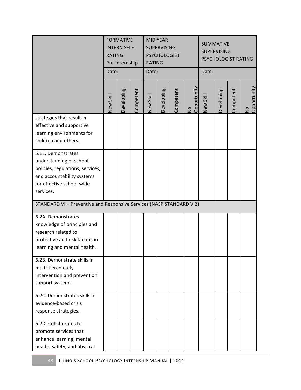|                                                                                                                                                           | <b>FORMATIVE</b><br><b>INTERN SELF-</b><br><b>RATING</b><br>Pre-Internship<br>Date: |            |           | <b>RATING</b><br>Date: | <b>MID YEAR</b><br><b>SUPERVISING</b><br><b>PSYCHOLOGIST</b> |           |                               | <b>SUMMATIVE</b><br><b>SUPERVISING</b><br>PSYCHOLOGIST RATING<br>Date: |            |           |                              |
|-----------------------------------------------------------------------------------------------------------------------------------------------------------|-------------------------------------------------------------------------------------|------------|-----------|------------------------|--------------------------------------------------------------|-----------|-------------------------------|------------------------------------------------------------------------|------------|-----------|------------------------------|
|                                                                                                                                                           | New Skill                                                                           | Developing | Competent | New Skill              | Developing                                                   | Competent | Opportunity<br>$\overline{a}$ | New Skill                                                              | Developing | Competent | Opportunity<br>$\frac{1}{2}$ |
| strategies that result in<br>effective and supportive<br>learning environments for<br>children and others.                                                |                                                                                     |            |           |                        |                                                              |           |                               |                                                                        |            |           |                              |
| 5.1E. Demonstrates<br>understanding of school<br>policies, regulations, services,<br>and accountability systems<br>for effective school-wide<br>services. |                                                                                     |            |           |                        |                                                              |           |                               |                                                                        |            |           |                              |
| STANDARD VI - Preventive and Responsive Services (NASP STANDARD V.2)                                                                                      |                                                                                     |            |           |                        |                                                              |           |                               |                                                                        |            |           |                              |
| 6.2A. Demonstrates<br>knowledge of principles and<br>research related to<br>protective and risk factors in<br>learning and mental health.                 |                                                                                     |            |           |                        |                                                              |           |                               |                                                                        |            |           |                              |
| 6.2B. Demonstrate skills in<br>multi-tiered early<br>intervention and prevention<br>support systems.                                                      |                                                                                     |            |           |                        |                                                              |           |                               |                                                                        |            |           |                              |
| 6.2C. Demonstrates skills in<br>evidence-based crisis<br>response strategies.                                                                             |                                                                                     |            |           |                        |                                                              |           |                               |                                                                        |            |           |                              |
| 6.2D. Collaborates to<br>promote services that<br>enhance learning, mental<br>health, safety, and physical                                                |                                                                                     |            |           |                        |                                                              |           |                               |                                                                        |            |           |                              |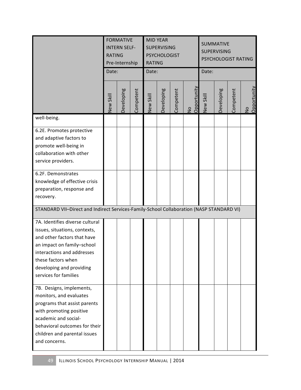|                                                                                                                                                                                                                                        | <b>FORMATIVE</b><br><b>INTERN SELF-</b><br><b>RATING</b><br>Pre-Internship<br>Date: |            |           | <b>RATING</b><br>Date: | <b>MID YEAR</b><br><b>SUPERVISING</b><br><b>PSYCHOLOGIST</b> |           |                   | <b>SUMMATIVE</b><br><b>SUPERVISING</b><br>PSYCHOLOGIST RATING<br>Date: |            |           |                              |
|----------------------------------------------------------------------------------------------------------------------------------------------------------------------------------------------------------------------------------------|-------------------------------------------------------------------------------------|------------|-----------|------------------------|--------------------------------------------------------------|-----------|-------------------|------------------------------------------------------------------------|------------|-----------|------------------------------|
|                                                                                                                                                                                                                                        | New Skill                                                                           | Developing | Competent | New Skill              | Developing                                                   | Competent | No<br>Opportunity | New Skill                                                              | Developing | Competent | Opportunity<br>$\frac{1}{2}$ |
| well-being.                                                                                                                                                                                                                            |                                                                                     |            |           |                        |                                                              |           |                   |                                                                        |            |           |                              |
| 6.2E. Promotes protective<br>and adaptive factors to<br>promote well-being in<br>collaboration with other<br>service providers.                                                                                                        |                                                                                     |            |           |                        |                                                              |           |                   |                                                                        |            |           |                              |
| 6.2F. Demonstrates<br>knowledge of effective crisis<br>preparation, response and<br>recovery.                                                                                                                                          |                                                                                     |            |           |                        |                                                              |           |                   |                                                                        |            |           |                              |
| STANDARD VII-Direct and Indirect Services-Family-School Collaboration (NASP STANDARD VI)                                                                                                                                               |                                                                                     |            |           |                        |                                                              |           |                   |                                                                        |            |           |                              |
| 7A. Identifies diverse cultural<br>issues, situations, contexts,<br>and other factors that have<br>an impact on family-school<br>interactions and addresses<br>these factors when<br>developing and providing<br>services for families |                                                                                     |            |           |                        |                                                              |           |                   |                                                                        |            |           |                              |
| 7B. Designs, implements,<br>monitors, and evaluates<br>programs that assist parents<br>with promoting positive<br>academic and social-<br>behavioral outcomes for their<br>children and parental issues<br>and concerns.               |                                                                                     |            |           |                        |                                                              |           |                   |                                                                        |            |           |                              |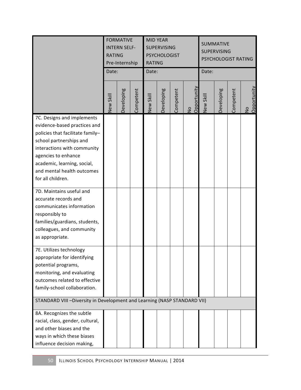|                                                                                                                                                                                                                                                                   | <b>FORMATIVE</b><br><b>INTERN SELF-</b><br><b>RATING</b><br>Pre-Internship<br>Date: |            |           | <b>RATING</b><br>Date: | <b>MID YEAR</b><br><b>SUPERVISING</b><br><b>PSYCHOLOGIST</b> |           |                   | Date:     | <b>SUMMATIVE</b><br><b>SUPERVISING</b><br>PSYCHOLOGIST RATING |           |                   |
|-------------------------------------------------------------------------------------------------------------------------------------------------------------------------------------------------------------------------------------------------------------------|-------------------------------------------------------------------------------------|------------|-----------|------------------------|--------------------------------------------------------------|-----------|-------------------|-----------|---------------------------------------------------------------|-----------|-------------------|
|                                                                                                                                                                                                                                                                   | New Skill                                                                           | Developing | Competent | New Skill              | Developing                                                   | Competent | No<br>Opportunity | New Skill | Developing                                                    | Competent | No<br>Opportunity |
| 7C. Designs and implements<br>evidence-based practices and<br>policies that facilitate family-<br>school partnerships and<br>interactions with community<br>agencies to enhance<br>academic, learning, social,<br>and mental health outcomes<br>for all children. |                                                                                     |            |           |                        |                                                              |           |                   |           |                                                               |           |                   |
| 7D. Maintains useful and<br>accurate records and<br>communicates information<br>responsibly to<br>families/guardians, students,<br>colleagues, and community<br>as appropriate.                                                                                   |                                                                                     |            |           |                        |                                                              |           |                   |           |                                                               |           |                   |
| 7E. Utilizes technology<br>appropriate for identifying<br>potential programs,<br>monitoring, and evaluating<br>outcomes related to effective<br>family-school collaboration.                                                                                      |                                                                                     |            |           |                        |                                                              |           |                   |           |                                                               |           |                   |
| STANDARD VIII-Diversity in Development and Learning (NASP STANDARD VII)<br>8A. Recognizes the subtle<br>racial, class, gender, cultural,<br>and other biases and the<br>ways in which these biases<br>influence decision making,                                  |                                                                                     |            |           |                        |                                                              |           |                   |           |                                                               |           |                   |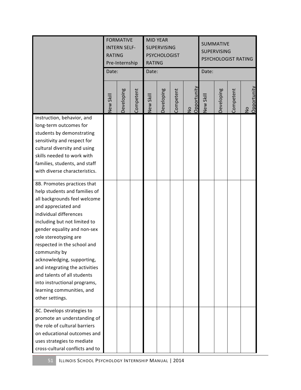|                                                                                                                                                                                                                                                                                                                                                                                                                                                                     | <b>FORMATIVE</b><br><b>INTERN SELF-</b><br><b>RATING</b><br>Pre-Internship<br>Date: |            |           | <b>MID YEAR</b><br><b>SUPERVISING</b><br><b>PSYCHOLOGIST</b><br><b>RATING</b><br>Date: |            |           |                            | <b>SUMMATIVE</b><br><b>SUPERVISING</b><br>PSYCHOLOGIST RATING<br>Date: |            |           |                   |
|---------------------------------------------------------------------------------------------------------------------------------------------------------------------------------------------------------------------------------------------------------------------------------------------------------------------------------------------------------------------------------------------------------------------------------------------------------------------|-------------------------------------------------------------------------------------|------------|-----------|----------------------------------------------------------------------------------------|------------|-----------|----------------------------|------------------------------------------------------------------------|------------|-----------|-------------------|
|                                                                                                                                                                                                                                                                                                                                                                                                                                                                     | New Skill                                                                           | Developing | Competent | New Skill                                                                              | Developing | Competent | Opportunity<br>$rac{1}{2}$ | New Skill                                                              | Developing | Competent | No<br>Opportunity |
| instruction, behavior, and<br>long-term outcomes for<br>students by demonstrating<br>sensitivity and respect for<br>cultural diversity and using<br>skills needed to work with<br>families, students, and staff<br>with diverse characteristics.                                                                                                                                                                                                                    |                                                                                     |            |           |                                                                                        |            |           |                            |                                                                        |            |           |                   |
| 8B. Promotes practices that<br>help students and families of<br>all backgrounds feel welcome<br>and appreciated and<br>individual differences<br>including but not limited to<br>gender equality and non-sex<br>role stereotyping are<br>respected in the school and<br>community by<br>acknowledging, supporting,<br>and integrating the activities<br>and talents of all students<br>into instructional programs,<br>learning communities, and<br>other settings. |                                                                                     |            |           |                                                                                        |            |           |                            |                                                                        |            |           |                   |
| 8C. Develops strategies to<br>promote an understanding of<br>the role of cultural barriers<br>on educational outcomes and<br>uses strategies to mediate<br>cross-cultural conflicts and to                                                                                                                                                                                                                                                                          |                                                                                     |            |           |                                                                                        |            |           |                            |                                                                        |            |           |                   |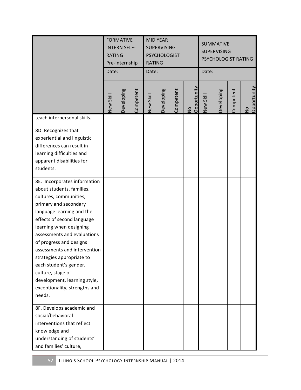|                                                                                                                                                                                                                                                                                                                                                                                                                                                     | <b>FORMATIVE</b><br><b>INTERN SELF-</b><br><b>RATING</b><br>Pre-Internship<br>Date: |            |           | <b>RATING</b><br>Date: | <b>MID YEAR</b><br><b>SUPERVISING</b><br><b>PSYCHOLOGIST</b> |           |                              | Date:            | <b>SUMMATIVE</b><br><b>SUPERVISING</b><br>PSYCHOLOGIST RATING<br>Competent<br>Developing<br>$\frac{1}{2}$ |             |  |
|-----------------------------------------------------------------------------------------------------------------------------------------------------------------------------------------------------------------------------------------------------------------------------------------------------------------------------------------------------------------------------------------------------------------------------------------------------|-------------------------------------------------------------------------------------|------------|-----------|------------------------|--------------------------------------------------------------|-----------|------------------------------|------------------|-----------------------------------------------------------------------------------------------------------|-------------|--|
|                                                                                                                                                                                                                                                                                                                                                                                                                                                     | New Skill                                                                           | Developing | Competent | New Skill              | Developing                                                   | Competent | Opportunity<br>$\frac{1}{2}$ | <b>New Skill</b> |                                                                                                           | Opportunity |  |
| teach interpersonal skills.                                                                                                                                                                                                                                                                                                                                                                                                                         |                                                                                     |            |           |                        |                                                              |           |                              |                  |                                                                                                           |             |  |
| 8D. Recognizes that<br>experiential and linguistic<br>differences can result in<br>learning difficulties and<br>apparent disabilities for<br>students.                                                                                                                                                                                                                                                                                              |                                                                                     |            |           |                        |                                                              |           |                              |                  |                                                                                                           |             |  |
| 8E. Incorporates information<br>about students, families,<br>cultures, communities,<br>primary and secondary<br>language learning and the<br>effects of second language<br>learning when designing<br>assessments and evaluations<br>of progress and designs<br>assessments and intervention<br>strategies appropriate to<br>each student's gender,<br>culture, stage of<br>development, learning style,<br>exceptionality, strengths and<br>needs. |                                                                                     |            |           |                        |                                                              |           |                              |                  |                                                                                                           |             |  |
| 8F. Develops academic and<br>social/behavioral<br>interventions that reflect<br>knowledge and<br>understanding of students'<br>and families' culture,                                                                                                                                                                                                                                                                                               |                                                                                     |            |           |                        |                                                              |           |                              |                  |                                                                                                           |             |  |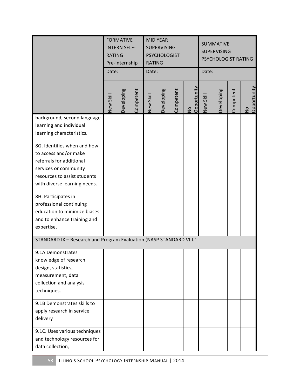|                                                                                                                                                                           | <b>FORMATIVE</b><br><b>INTERN SELF-</b><br><b>RATING</b><br>Pre-Internship<br>Date: |            |           | <b>RATING</b><br>Date: | <b>MID YEAR</b><br><b>SUPERVISING</b><br><b>PSYCHOLOGIST</b> |           |                              | Date:     | <b>SUMMATIVE</b><br><b>SUPERVISING</b><br>PSYCHOLOGIST RATING |           |                              |
|---------------------------------------------------------------------------------------------------------------------------------------------------------------------------|-------------------------------------------------------------------------------------|------------|-----------|------------------------|--------------------------------------------------------------|-----------|------------------------------|-----------|---------------------------------------------------------------|-----------|------------------------------|
|                                                                                                                                                                           | New Skill                                                                           | Developing | Competent | New Skill              | Developing                                                   | Competent | Opportunity<br>$\frac{1}{2}$ | New Skill | Developing                                                    | Competent | Opportunity<br>$\frac{1}{2}$ |
| background, second language<br>learning and individual<br>learning characteristics.                                                                                       |                                                                                     |            |           |                        |                                                              |           |                              |           |                                                               |           |                              |
| 8G. Identifies when and how<br>to access and/or make<br>referrals for additional<br>services or community<br>resources to assist students<br>with diverse learning needs. |                                                                                     |            |           |                        |                                                              |           |                              |           |                                                               |           |                              |
| 8H. Participates in<br>professional continuing<br>education to minimize biases<br>and to enhance training and<br>expertise.                                               |                                                                                     |            |           |                        |                                                              |           |                              |           |                                                               |           |                              |
| STANDARD IX - Research and Program Evaluation (NASP STANDARD VIII.1                                                                                                       |                                                                                     |            |           |                        |                                                              |           |                              |           |                                                               |           |                              |
| 9.1A Demonstrates<br>knowledge of research<br>design, statistics,<br>measurement, data<br>collection and analysis<br>techniques.                                          |                                                                                     |            |           |                        |                                                              |           |                              |           |                                                               |           |                              |
| 9.1B Demonstrates skills to<br>apply research in service<br>delivery                                                                                                      |                                                                                     |            |           |                        |                                                              |           |                              |           |                                                               |           |                              |
| 9.1C. Uses various techniques<br>and technology resources for<br>data collection,                                                                                         |                                                                                     |            |           |                        |                                                              |           |                              |           |                                                               |           |                              |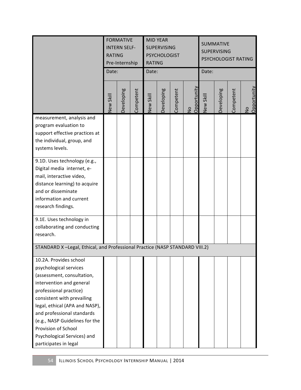|                                                                                                                                                                                                                                                                                                                                                     | <b>FORMATIVE</b><br><b>INTERN SELF-</b><br><b>RATING</b><br>Pre-Internship<br>Date: |            |           | <b>RATING</b><br>Date: | <b>MID YEAR</b><br><b>SUPERVISING</b><br><b>PSYCHOLOGIST</b> |           |                   | Date:     | <b>SUMMATIVE</b><br><b>SUPERVISING</b><br>PSYCHOLOGIST RATING |           |                   |
|-----------------------------------------------------------------------------------------------------------------------------------------------------------------------------------------------------------------------------------------------------------------------------------------------------------------------------------------------------|-------------------------------------------------------------------------------------|------------|-----------|------------------------|--------------------------------------------------------------|-----------|-------------------|-----------|---------------------------------------------------------------|-----------|-------------------|
|                                                                                                                                                                                                                                                                                                                                                     | New Skill                                                                           | Developing | Competent | New Skill              | Developing                                                   | Competent | No<br>Opportunity | New Skill | Developing                                                    | Competent | No<br>Opportunity |
| measurement, analysis and<br>program evaluation to<br>support effective practices at<br>the individual, group, and<br>systems levels.                                                                                                                                                                                                               |                                                                                     |            |           |                        |                                                              |           |                   |           |                                                               |           |                   |
| 9.1D. Uses technology (e.g.,<br>Digital media internet, e-<br>mail, interactive video,<br>distance learning) to acquire<br>and or disseminate<br>information and current<br>research findings.                                                                                                                                                      |                                                                                     |            |           |                        |                                                              |           |                   |           |                                                               |           |                   |
| 9.1E. Uses technology in<br>collaborating and conducting<br>research.                                                                                                                                                                                                                                                                               |                                                                                     |            |           |                        |                                                              |           |                   |           |                                                               |           |                   |
| STANDARD X-Legal, Ethical, and Professional Practice (NASP STANDARD VIII.2)                                                                                                                                                                                                                                                                         |                                                                                     |            |           |                        |                                                              |           |                   |           |                                                               |           |                   |
| 10.2A. Provides school<br>psychological services<br>(assessment, consultation,<br>intervention and general<br>professional practice)<br>consistent with prevailing<br>legal, ethical (APA and NASP),<br>and professional standards<br>(e.g., NASP Guidelines for the<br>Provision of School<br>Psychological Services) and<br>participates in legal |                                                                                     |            |           |                        |                                                              |           |                   |           |                                                               |           |                   |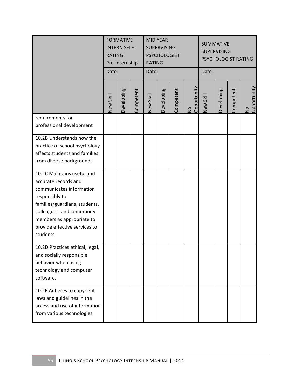|                                                                                                                                                                                                                                           | <b>FORMATIVE</b><br><b>INTERN SELF-</b><br><b>RATING</b><br>Pre-Internship<br>Date: |            |           | <b>RATING</b><br>Date: | <b>MID YEAR</b><br><b>SUPERVISING</b><br><b>PSYCHOLOGIST</b> |           |                   | Date:     | <b>SUMMATIVE</b><br><b>SUPERVISING</b> | PSYCHOLOGIST RATING<br>Competent |  |
|-------------------------------------------------------------------------------------------------------------------------------------------------------------------------------------------------------------------------------------------|-------------------------------------------------------------------------------------|------------|-----------|------------------------|--------------------------------------------------------------|-----------|-------------------|-----------|----------------------------------------|----------------------------------|--|
|                                                                                                                                                                                                                                           | New Skill                                                                           | Developing | Competent | New Skill              | Developing                                                   | Competent | No<br>Opportunity | New Skill | Developing                             | No<br>Opportunity                |  |
| requirements for<br>professional development                                                                                                                                                                                              |                                                                                     |            |           |                        |                                                              |           |                   |           |                                        |                                  |  |
| 10.2B Understands how the<br>practice of school psychology<br>affects students and families<br>from diverse backgrounds.                                                                                                                  |                                                                                     |            |           |                        |                                                              |           |                   |           |                                        |                                  |  |
| 10.2C Maintains useful and<br>accurate records and<br>communicates information<br>responsibly to<br>families/guardians, students,<br>colleagues, and community<br>members as appropriate to<br>provide effective services to<br>students. |                                                                                     |            |           |                        |                                                              |           |                   |           |                                        |                                  |  |
| 10.2D Practices ethical, legal,<br>and socially responsible<br>behavior when using<br>technology and computer<br>software.                                                                                                                |                                                                                     |            |           |                        |                                                              |           |                   |           |                                        |                                  |  |
| 10.2E Adheres to copyright<br>laws and guidelines in the<br>access and use of information<br>from various technologies                                                                                                                    |                                                                                     |            |           |                        |                                                              |           |                   |           |                                        |                                  |  |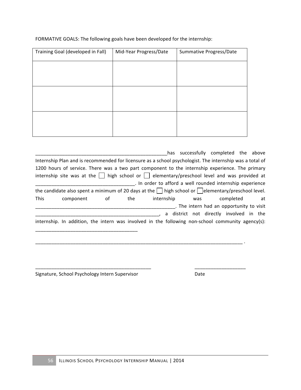| Training Goal (developed in Fall) | Mid-Year Progress/Date | Summative Progress/Date |
|-----------------------------------|------------------------|-------------------------|
|                                   |                        |                         |
|                                   |                        |                         |
|                                   |                        |                         |
|                                   |                        |                         |
|                                   |                        |                         |
|                                   |                        |                         |

FORMATIVE GOALS: The following goals have been developed for the internship:

|                                                                                                                 |                                                                                                 |    |     | has                                                                                                      |     | successfully completed the above         |  |    |  |  |  |  |
|-----------------------------------------------------------------------------------------------------------------|-------------------------------------------------------------------------------------------------|----|-----|----------------------------------------------------------------------------------------------------------|-----|------------------------------------------|--|----|--|--|--|--|
|                                                                                                                 |                                                                                                 |    |     | Internship Plan and is recommended for licensure as a school psychologist. The internship was a total of |     |                                          |  |    |  |  |  |  |
|                                                                                                                 | 1200 hours of service. There was a two part component to the internship experience. The primary |    |     |                                                                                                          |     |                                          |  |    |  |  |  |  |
| internship site was at the $\Box$ high school or $\Box$ elementary/preschool level and was provided at          |                                                                                                 |    |     |                                                                                                          |     |                                          |  |    |  |  |  |  |
|                                                                                                                 |                                                                                                 |    |     | . In order to afford a well rounded internship experience                                                |     |                                          |  |    |  |  |  |  |
| the candidate also spent a minimum of 20 days at the $\vert$ high school or $\vert$ elementary/preschool level. |                                                                                                 |    |     |                                                                                                          |     |                                          |  |    |  |  |  |  |
| <b>This</b>                                                                                                     | component                                                                                       | οf | the | internship                                                                                               | was | completed                                |  | at |  |  |  |  |
|                                                                                                                 |                                                                                                 |    |     |                                                                                                          |     | . The intern had an opportunity to visit |  |    |  |  |  |  |
|                                                                                                                 |                                                                                                 |    |     |                                                                                                          |     | a district not directly involved in the  |  |    |  |  |  |  |
|                                                                                                                 |                                                                                                 |    |     | internship. In addition, the intern was involved in the following non-school community agency(s):        |     |                                          |  |    |  |  |  |  |
|                                                                                                                 |                                                                                                 |    |     |                                                                                                          |     |                                          |  |    |  |  |  |  |
|                                                                                                                 |                                                                                                 |    |     |                                                                                                          |     |                                          |  |    |  |  |  |  |
|                                                                                                                 |                                                                                                 |    |     |                                                                                                          |     |                                          |  |    |  |  |  |  |

\_\_\_\_\_\_\_\_\_\_\_\_\_\_\_\_\_\_\_\_\_\_\_\_\_\_\_\_\_\_\_\_\_\_\_\_\_\_\_\_\_\_\_ \_\_\_\_\_\_\_\_\_\_\_\_\_\_\_\_\_\_\_

Signature, School Psychology Intern Supervisor **Date** Date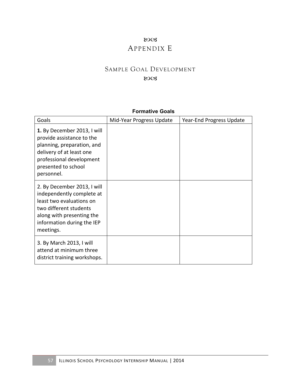### ುಂತ APPENDIX E

## SAMPLE GOAL DEVELOPMENT

#### 8003

| Goals                                                                                                                                                                                  | Mid-Year Progress Update | Year-End Progress Update |
|----------------------------------------------------------------------------------------------------------------------------------------------------------------------------------------|--------------------------|--------------------------|
| 1. By December 2013, I will<br>provide assistance to the<br>planning, preparation, and<br>delivery of at least one<br>professional development<br>presented to school<br>personnel.    |                          |                          |
| 2. By December 2013, I will<br>independently complete at<br>least two evaluations on<br>two different students<br>along with presenting the<br>information during the IEP<br>meetings. |                          |                          |
| 3. By March 2013, I will<br>attend at minimum three<br>district training workshops.                                                                                                    |                          |                          |

#### **Formative Goals**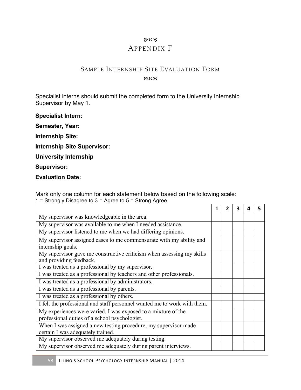### 8003

### APPENDIX F

### SAMPLE INTERNSHIP SITE EVALUATION FORM **ROCS**

Specialist interns should submit the completed form to the University Internship Supervisor by May 1.

**Specialist Intern:**

**Semester, Year:**

**Internship Site:**

**Internship Site Supervisor:**

**University Internship**

**Supervisor:**

**Evaluation Date:**

Mark only one column for each statement below based on the following scale: 1 = Strongly Disagree to 3 = Agree to 5 = Strong Agree.

|                                                                                                                | 1 | 3 |  |
|----------------------------------------------------------------------------------------------------------------|---|---|--|
| My supervisor was knowledgeable in the area.                                                                   |   |   |  |
| My supervisor was available to me when I needed assistance.                                                    |   |   |  |
| My supervisor listened to me when we had differing opinions.                                                   |   |   |  |
| My supervisor assigned cases to me commensurate with my ability and<br>internship goals.                       |   |   |  |
| My supervisor gave me constructive criticism when assessing my skills<br>and providing feedback.               |   |   |  |
| I was treated as a professional by my supervisor.                                                              |   |   |  |
| I was treated as a professional by teachers and other professionals.                                           |   |   |  |
| I was treated as a professional by administrators.                                                             |   |   |  |
| I was treated as a professional by parents.                                                                    |   |   |  |
| I was treated as a professional by others.                                                                     |   |   |  |
| I felt the professional and staff personnel wanted me to work with them.                                       |   |   |  |
| My experiences were varied. I was exposed to a mixture of the<br>professional duties of a school psychologist. |   |   |  |
| When I was assigned a new testing procedure, my supervisor made                                                |   |   |  |
| certain I was adequately trained.                                                                              |   |   |  |
| My supervisor observed me adequately during testing.                                                           |   |   |  |
| My supervisor observed me adequately during parent interviews.                                                 |   |   |  |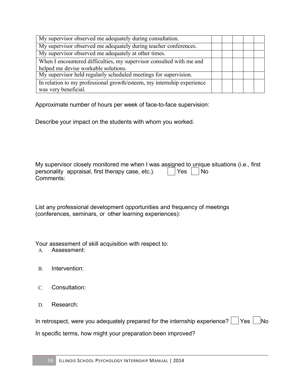| My supervisor observed me adequately during consultation.              |  |  |  |
|------------------------------------------------------------------------|--|--|--|
| My supervisor observed me adequately during teacher conferences.       |  |  |  |
| My supervisor observed me adequately at other times.                   |  |  |  |
| When I encountered difficulties, my supervisor consulted with me and   |  |  |  |
| helped me devise workable solutions.                                   |  |  |  |
| My supervisor held regularly scheduled meetings for supervision.       |  |  |  |
| In relation to my professional growth/esteem, my internship experience |  |  |  |
| was very beneficial.                                                   |  |  |  |

Approximate number of hours per week of face-to-face supervision:

Describe your impact on the students with whom you worked.

My supervisor closely monitored me when I was assigned to unique situations (i.e., first personality appraisal, first therapy case, etc.).  $\Box$  Yes  $\Box$  No Comments:

List any professional development opportunities and frequency of meetings (conferences, seminars, or other learning experiences):

Your assessment of skill acquisition with respect to:

- A. Assessment:
- B. Intervention:
- C. Consultation:
- D. Research:

|  |  |  | In retrospect, were you adequately prepared for the internship experience? $\Box$ Yes $\Box$ No |  |  |
|--|--|--|-------------------------------------------------------------------------------------------------|--|--|
|  |  |  |                                                                                                 |  |  |

In specific terms, how might your preparation been improved?